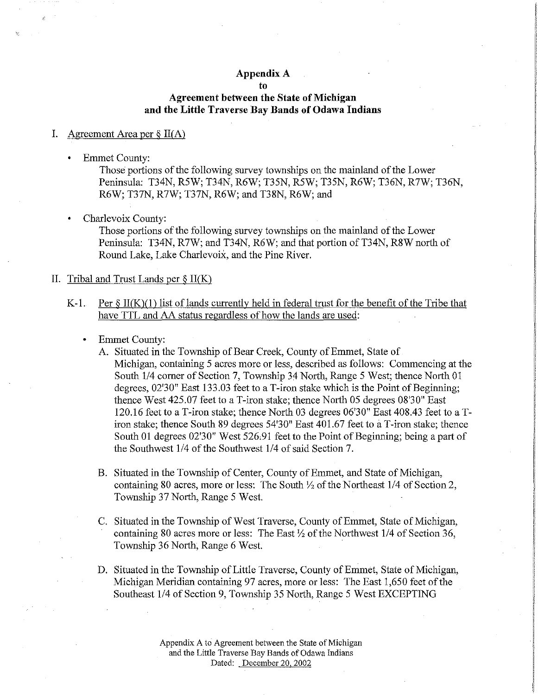# **Appendix A**

**to** 

# **Agreement between the State of Michigan and the Little Traverse Bay Bands of Odawa Indians**

## I. Agreement Area per  $\S$  II(A)

• Emmet County:

Those portions of the following survey townships on the mainland of the Lower Peninsula: T34N, R5W; T34N, R6W; T35N, R5W; T35N, R6W; T36N, R7W; T36N, R6W; T37N, R7W; T37N, R6W; and T38N, R6W; and

Charlevoix County:

Those portions of the following survey townships on the mainland of the Lower Peninsula: T34N, R7W; and T34N, R6W; and that portion of T34N, R8W north of Round Lake, Lake Charlevoix, and the Pine River,

## II. Tribal and Trust Lands per  $\S$  II(K)

- K-1. Per  $\S$  II(K)(1) list of lands currently held in federal trust for the benefit of the Tribe that have TTL and AA status regardless of how the lands are used:
	- Emmet County:
		- A. Situated in the Township of Bear Creek, County of Emmet, State of Michigan, containing 5 acres more or less, described as follows: Commencing at the South 1/4 comer of Section 7, Township 34 North, Range 5 West; thence North 01 degrees, 02'30" East 133,03 feet to a T-iron stake which is the Point of Beginning; thence West 425,07 feet to a T-iron stake; thence North 05 degrees 08'30" East 120,16 feet to a T-iron stake; thence North 03 degrees 06'30" East 408,43 feet to a Tiron stake; thence South 89 degrees 54'30" East 401.67 feet to a T-iron stake; thence South 01 degrees 02'30" West 526,91 feet to the Point of Beginning; being a part of the Southwest 1/4 of the Southwest 1/4 of said Section 7,
		- B, Situated in the Township of Center, County of Emmet, and State of Michigan, containing 80 acres, more or less: The South *Yi* of the Northeast 1/4 of Section 2, Township 37 North, Range 5 West
		- C, Situated in the Township of West Traverse, County of Emmet, State of Michigan, containing 80 acres more or less: The East *Yz* of the Northwest 1/4 of Section 36, Township 36 North, Range 6 West
		- D, Situated in the Township of Little Traverse, County of Emmet, State of Michigan, Michigan Meridian containing 97 acres, more or less: The East 1,650 feet of the Southeast 1/4 of Section 9, Township 35 North, Range 5 West EXCEPTING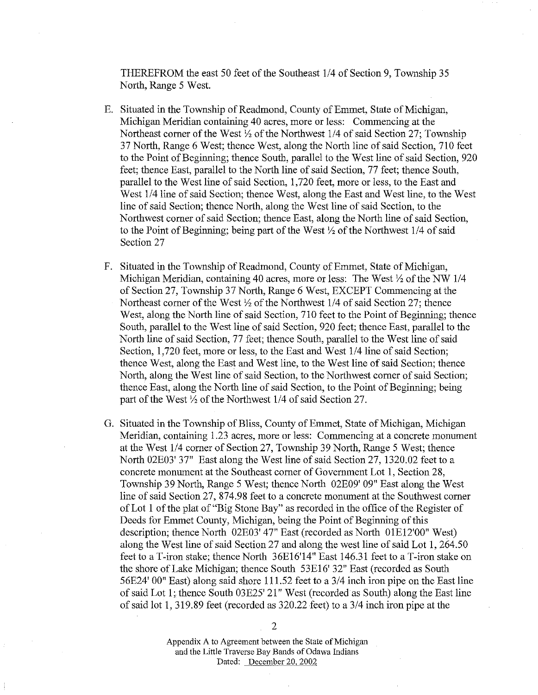THEREFROM the east 50 feet of the Southeast 1/4 of Section 9, Township 35 North, Range 5 West.

- E. Situated in the Township of Readmond, County of Emmet, State of Michigan, MiChigan Meridian containing 40 acres, more or less: Commencing at the Northeast comer of the West *Yz* of the Northwest 1/4 of said Section 27; Township 3 7 North, Range 6 West; thence West, along the North line of said Section, 710 feet to the Point of Beginning; thence South, parallel to the West line of said Section, 920 feet; thence East, parallel to the North line of said Section, 77 feet; thence South, parallel to the West line of said Section, 1, 720 feet, more or less, to the East and West 1/4 line of said Section; thence West, along the East and West line, to the West line of said Section; thence North, along the West line of said Section, to the Northwest comer of said Section; thence East, along the North line of said Section, to the Point of Beginning; being part of the West *Yz* of the Northwest 1/4 of said Section 27
- F. Situated in the Township of Readmond, County of Emmet, State of Michigan, Michigan Meridian, containing 40 acres, more or less: The West *Yz* of the NW 114 of Section 27, Township 37 North, Range 6 West, EXCEPT Commencing at the Northeast comer of the West *Yz* of the Northwest 1/4 of said Section 27; thence West, along the North line of said Section, 710 feet to the Point of Beginning; thence South, parallel to the West line of said Section, 920 feet; thence East, parallel to the North line of said Section, 77 feet; thence South, parallel to the West line of said Section, 1,720 feet, more or less, to the East and West 1/4 line of said Section; thence West, along the East and West line, to the West line of said Section; thence North, along the West line of said Section, to the Northwest comer of said Section; thence East, along the North line of said Section, to the Point of Beginning; being part of the West  $\frac{1}{2}$  of the Northwest 1/4 of said Section 27.
- G. Situated in the Township of Bliss, County of Emmet, State of Michigan, Michigan Meridian, containing 1.23 acres, more or less: Commencing at a concrete monument at the West 1/4 comer of Section 27, Township 39 North, Range 5 West; thence North 02E03' 37" East along the West line of said Section 27, 1320.02 feet to a concrete monument at the Southeast comer of Government Lot 1, Section 28, Township 39 North, Range 5 West; thence North 02E09' 09" East along the West line of said Section 27, 874.98 feet to a concrete monument at the Southwest comer of Lot 1 of the plat of "Big Stone Bay" as recorded in the office of the Register of Deeds for Emmet County, Michigan, being the Point of Beginning of this description; thence North 02E03' 47" East (recorded as North 01El2'00" West) along the West line of said Section 27 and along the west line of said Lot 1, 264.50 feet to a I-iron stake; thence North 36El6'14" East 146.31 feet to a T-iron stake on the shore of Lake Michigan; thence South 53El6' 32" East (recorded as South 56E24' 00" East) along said shore 111.52 feet to a 3/4 inch iron pipe on the East line of said Lot 1; thence South 03E25' 21" West (recorded as South) along the East line of said lot 1, 319.89 feet (recorded as 320.22 feet) to a 3/4 inch iron pipe at the

Appendix A to Agreement between the State of Michigan and the Little Traverse Bay Bands of Odawa Indians Dated: December 20, 2002

2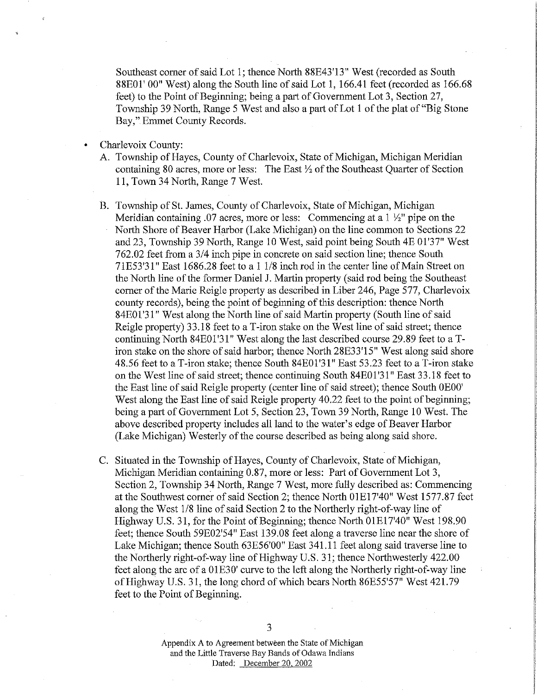Southeast comer of said Lot 1; thence North 88E43'13" West (recorded as South 88E01' 00" West) along the South line of said Lot 1, 166.41 feet (recorded as 166.68 feet) to the Point of Beginning; being a part of Government Lot 3, Section 27, Township 39 North, Range 5 West and also a part of Lot 1 of the plat of"Big Stone Bay," Ennnet County Records.

- Charlevoix County:
	- A. Township of Hayes, County of Charlevoix, State of Michigan, Michigan Meridian containing 80 acres, more or less: The East *Yz* of the Southeast Quarter of Section 11, Town 34 North, Range 7 West.
	- B. Township of St. James, County of Charlevoix, State of Michigan, Michigan Meridian containing .07 acres, more or less: Connnencing at a 1 *Yz"* pipe on the North Shore of Beaver Harbor (Lake Michigan) on the line common to Sections 22 and 23, Township 39 North, Range 10 West, said point being South 4E 01'37" West 762.02 feet from a 3/4 inch pipe in concrete on said section line; thence South 71E53'31" East 1686.28 feet to a 1 1/8 inch rod in the center line of Main Street on the North line of the former Daniel J. Martin property (said rod being the Southeast comer of the Marie Reigle property as described in Liber 246, Page 577, Charlevoix county records), being the point of beginning of this description: thence North 84E01'3 l" West along the North line of said Martin property (South line of said Reigle property) 33.18 feet to a T-iron stake on the West line of said street; thence continuing North 84E01'31" West along the last described course 29.89 feet to a Tiron stake on the shore of said harbor; thence North 28E33'15" West along said shore 48.56 feet to a T-iron stake; thence South 84E01'31" East 53.23 feet to a T-iron stake on the West line of said street; thence continuing South 84E01 '31" East 33.18 feet to the East line of said Reigle property (center line of said street); thence South OEOO' West along the East line of said Reigle property 40.22 feet to the point of beginning; being a part of Government Lot 5, Section 23, Town 39 North, Range 10 West. The above described property includes all land to the water's edge of Beaver Harbor (Lake Michigan) Westerly of the course described as being along said shore.
	- C. Situated in the Township of Hayes, County of Charlevoix, State of Michigan, Michigan Meridian containing 0.87, more or less: Part of Government Lot 3, Section 2, Township 34 North, Range 7 West, more fully described as: Connnencing at the Southwest comer of said Section 2; thence North OlEl 7'40" West 1577.87 feet along the West 1/8 line of said Section 2 to the Northerly right-of-way line of Highway U.S. 31, for the Point of Beginning; thence North OlEl 7'40" West 198.90 feet; thence South 59E02'54" East 139.08 feet along a traverse line near the shore of Lake Michigan; thence South 63E56'00" East 341.11 feet along said traverse line to the Northerly right-of-way line of Highway U.S. 31; thence Northwesterly 422.00 feet along the arc of a 01E30' curve to the left along the Northerly right-of-way line of Highway U.S. 31, the long chord of which bears North 86E55'57" West 421.79 feet to the Point of Beginning.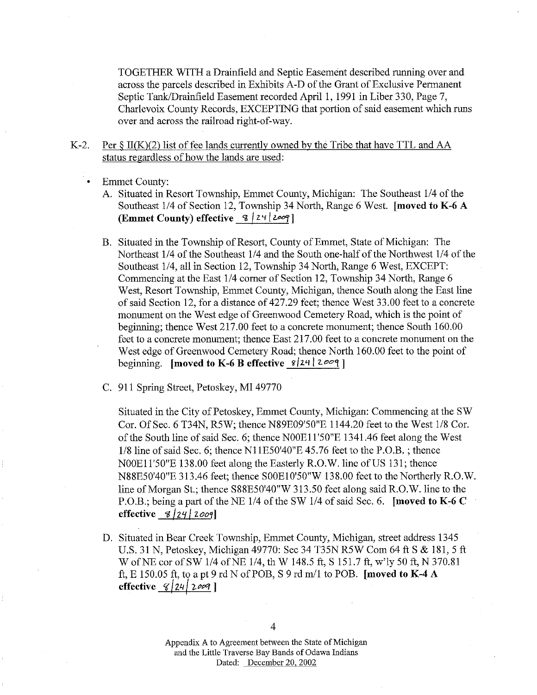TOGETHER WITH a Drainfield and Septic Easement described running over and across the parcels described in Exhibits A-D of the Grant of Exclusive Permanent Septic Tank/Drainfield Easement recorded April 1, 1991 in Liber 330, Page 7, Charlevoix County Records, EXCEPTING that portion of said easement which runs over and across the railroad right-of-way.

- K-2. Per  $\S$  II(K)(2) list of fee lands currently owned by the Tribe that have TTL and AA status regardless of how the lands are used:
	- **Emmet County:** 
		- A. Situated in Resort Township, Emmet County, Michigan: The Southeast 1/4 of the Southeast 114 of Section 12, Township 34 North, Range 6 West. **[moved to K-6 A (Emmet County) effective**  $\frac{8}{2}$  |  $\frac{24}{200}$ ]
		- B. Situated in the Township of Resort, County of Emmet, State of Michigan: The Northeast 114 of the Southeast 114 and the South one-half of the Northwest 114 of the Southeast 114, all in Section 12, Township 34 North, Range 6 West, EXCEPT: Commencing at the East 1/4 corner of Section 12, Township 34 North, Range 6 West, Resort Township, Emmet County, Michigan, thence South along the East line of said Section 12, for a distance of 427.29 feet; thence West 33.00 feet to a concrete monument on the West edge of Greenwood Cemetery Road, which is the point of beginning; thence West 217.00 feet to a concrete monument; thence South 160.00 feet to a concrete monument; thence East 217.00 feet to a concrete monument on the West edge of Greenwood Cemetery Road; thence North 160.00 feet to the point of beginning. **[moved to K-6 B effective**  $\frac{8}{2}$ |24 |  $2\degree$ |
		- C. 911 Spring Street, Petoskey, MI 49770

Situated in the City of Petoskey, Emmet County, Michigan: Commencing at the SW Cor. Of Sec. 6 T34N, R5W; thence N89E09'50"E 1144.20 feet to the West 1/8 Cor. of the South line of said Sec. 6; thence N00E11'50"E 1341.46 feet along the West  $1/8$  line of said Sec. 6; thence N11E50'40"E 45.76 feet to the P.O.B.; thence NOOE11'50"E 138.00 feet along the Easterly R.O.W. line of US 131; thence N88E50'40"E 313.46 feet; thence SOOE10'50"W 138.00 feet to the Northerly R.O.W. line of Morgan St.; thence S88E50'40"W 313.50 feet along said R.O.W. line to the P.O.B.; being a part of the NE 1/4 of the SW 1/4 of said Sec. 6. **[moved to K-6 C effective**  $\frac{8}{24}$  |  $\frac{2009}{ }$ 

D. Situated in Bear Creek Township, Emmet County, Michigan, street address 1345 U.S. 31 N, Petoskey, Michigan 49770: Sec 34 T35N R5W Com 64 ft S & 181, 5 ft W of NE cor of SW 1/4 of NE 1/4, th W 148.5 ft, S 151.7 ft, w'ly 50 ft, N 370.81 ft, E 150.05 ft, to a pt 9 rd N of POB, S 9 rd *mil* to POB. **[moved to K-4 A effective** 8/24/2*00*9]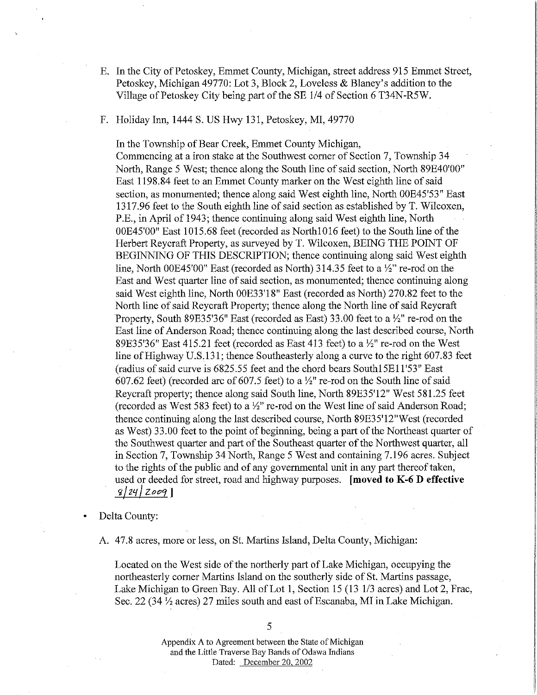- E. In the City of Petoskey, Ennnet County, Michigan, street address 915 Ennnet Street, Petoskey, Michigan 49770: Lot 3, Block 2, Loveless & Blaney's addition to the Village of Petoskey City being part of the SE 1/4 of Section 6 T34N-R5W.
- F. Holiday Inn, 1444 S. US Hwy 131, Petoskey, MI, 49770

In the Township of Bear Creek, Ennnet County Michigan, Connnencing at a iron stake at the Southwest comer of Section 7, Township 34 North, Range 5 West; thence along the South line of said section, North 89E40'00" East 1198.84 feet to an Ennnet County marker on the West eighth line of said section, as monumented; thence along said West eighth line, North OOE45'53" East 1317 .96 feet to the South eighth line of said section as established by T. Wilcoxen, P.E., in April of 1943; thence continuing along said West eighth line, North OOE45'00" East 1015.68 feet (recorded as Northl 016 feet) to the South line of the Herbert Reycraft Property, as surveyed by T. Wilcoxen, BEING THE POINT OF BEGINNING OF THIS DESCRIPTION; thence continuing along said West eighth line, North OOE45'00" East (recorded as North) 314.35 feet to a *Yz"* re-rod on the East and West quarter line of said section, as monumented; thence continuing along said West eighth line, North OOE33'18" East (recorded as North) 270.82 feet to the North line of said Reycraft Property; thence along the North line of said Reycraft Property, South 89E35'36" East (recorded as East) 33.00 feet to a *Yz"* re-rod on the East line of Anderson Road; thence continuing along the last described course, North 89E35'36" East 415.21 feet (recorded as East 413 feet) to a *Yz"* re-rod on the West line of Highway U.S.131; thence Southeasterly along a curve to the right 607.83 feet (radius of said curve is 6825.55 feet and the chord bears Southl5El1'53" East 607.62 feet) (recorded arc of 607 .5 feet) to a *Yz"* re-rod on the South line of said Reycraft property; thence along said South line, North 89E35'12" West 581.25 feet (recorded as West 583 feet) to a *Yz"* re-rod on the West line of said Anderson Road; thence continuing along the last described course, North 89E35'12"West (recorded as West) 33.00 feet to the point of beginning, being a part of the Northeast quarter of the Southwest quarter and part of the Southeast quarter of the Northwest quarter, all in Section 7, Township 34 North, Range 5 West and containing 7.196 acres. Subject to the rights of the public and of any governmental unit in any part thereof taken, used or deeded for street, road and highway purposes. **[moved to K-6 D effective**  't / *Z'f* / *Zot9'J* ] '

• Delta County:

A. 47.8 acres, more or less, on St. Martins Island, Delta County, Michigan:

Located on the West side of the northerly part of Lake Michigan, occupying the northeasterly comer Martins Island on the southerly side of St. Martins passage, Lake Michigan to Green Bay. All of Lot 1, Section 15 (13 1/3 acres) and Lot 2, Frac, Sec. 22 (34 *Yz* acres) 27 miles south and east of Escanaba, MI in Lake Michigan.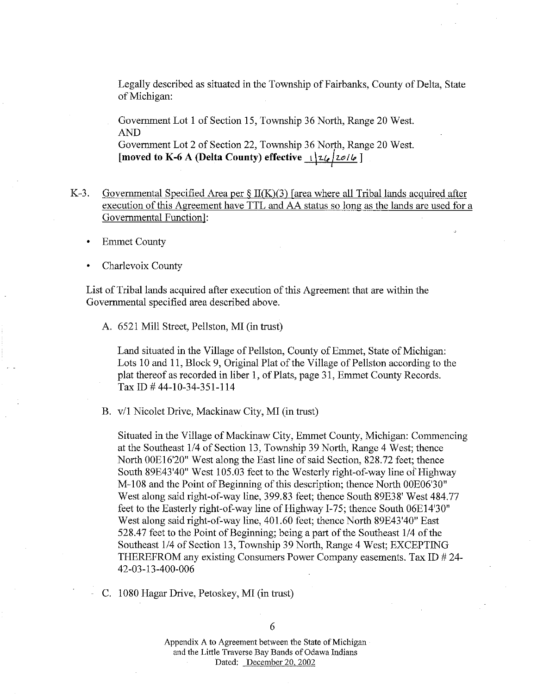Legally described as situated in the Township of Fairbanks, County of Delta, State of Michigan:

Government Lot 1 of Section 15, Township 36 North, Range 20 West. AND

Government Lot 2 of Section 22, Township 36 North, Range 20 West. [moved to K-6 A (Delta County) effective  $\frac{1}{2}$ /2//20/6 ]

- K-3. Governmental Specified Area per  $\S II(K)(3)$  [area where all Tribal lands acquired after execution of this Agreement have TTL and AA status so long as the lands are used for a Governmental Function]:
	- **Emmet County**
	- Charlevoix County

List of Tribal lands acquired after execution of this Agreement that are within the Governmental specified area described above.

A. 6521 Mill Street, Pellston, MI (in trust)

Land situated in the Village of Pellston, County of Emmet, State of Michigan: Lots 10 and 11, Block 9, Original Plat of the Village of Pellston according to the plat thereof as recorded in liber 1, of Plats, page 31, Emmet County Records. Tax ID # 44-10-34-351-114

B. v/1 Nicolet Drive, Mackinaw City, MI (in trust)

Situated in the Village of Mackinaw City, Emmet County, Michigan: Commencing at the Southeast 1/4 of Section 13, Township 39 North, Range 4 West; thence North OOEl 6'20" West along the East line of said Section, 828.72 feet; thence South 89E43'40" West 105.03 feet to the Westerly right-of-way line of Highway M-108 and the Point of Beginning of this description; thence North OOE06'30" West along said right-of-way line, 399.83 feet; thence South 89E38' West 484.77 feet to the Easterly right-of-way line of Highway I-75; thence South 06E14'30" West along said right-of-way line, 401.60 feet; thence North 89E43'40" East 528.47 feet to the Point of Beginning; being a part of the Southeast 1/4 of the Southeast 1/4 of Section 13, Township 39 North, Range 4 West; EXCEPTING THEREFROM any existing Consumers Power Company easements. Tax ID # 24- 42-03-13-400-006

C. 1080 Hagar Drive, Petoskey, MI (in trust)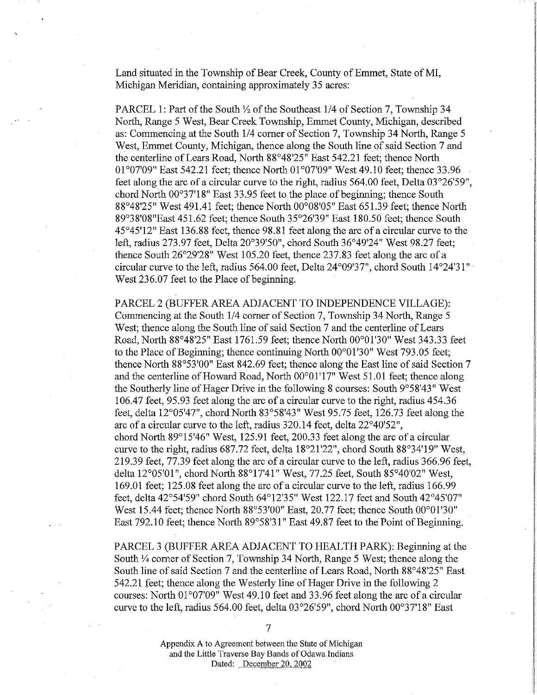Land situated in the Township of Bear Creek, County of Emmet, State of MI, Michigan Meridian, containing approximately 35 acres:

PARCEL 1: Part of the South  $\frac{1}{2}$  of the Southeast 1/4 of Section 7, Township 34 North, Range 5 West, Bear Creek Township, Emmet County, Michigan, described as: Commencing at the South 1/4 comer of Section 7, Township 34 North, Range 5 West, Emmet County, Michigan, thence along the South line of said Section 7 and the centerline of Lears Road, North 88°48'25" East 542.21 feet; thence North 01°07'09" East 542.21 feet; thence North 01°07'09" West 49.10 feet; thence 33.96 feet along the arc of a circular curve to the right, radius 564.00 feet, Delta 03°26'59", chord North 00°37'18" East 33.95 feet to the place of beginning; thence South 88°48'25" West 491.41 feet; thence North 00°08'05" East 651.39 feet; thence North 89°38'08"East 451.62 feet; thence South 35°26'39" East 180.50 feet; thence South 45°45'12" East 136.88 feet, thence 98.81 feet along the arc of a circular curve to the left, radius 273.97 feet, Delta 20°39'50", chord South 36°49'24" West 98.27 feet; thence South 26°29'28" West 105.20 feet, thence 237.83 feet along the arc of a circular curve to the left, radius 564.00 feet, Delta 24°09'37", chord South 14°24'3 l" West 236.07 feet to the Place of beginning.

PARCEL 2 (BUFFER AREA ADJACENT TO INDEPENDENCE VILLAGE): Commencing at the South 1/4 comer of Section 7, Township 34 North, Range 5 West; thence along the South line of said Section 7 and the centerline of Lears Road, North 88°48'25" East 1761.59 feet; thence North 00°01'30" West 343.33 feet to the Place of Beginning; thence continuing North 00°01 '30" West 793.05 feet; thence North 88°53'00" East 842.69 feet; thence along the East line of said Section 7 and the centerline of Howard Road, North 00°01'17" West 51.01 feet; thence along the Southerly line of Hager Drive in the following 8 courses: South 9°58'43" West 106.47 feet, 95.93 feet along the arc of a circular curve to the right, radius 454.36 feet, delta 12°05'47'', chord North 83°58'43" West 95.75 feet, 126.73 feet along the arc of a circular curve to the left, radius 320.14 feet, delta 22°40'52", chord North 89°15'46" West, 125.91 feet, 200.33 feet along the arc of a circular curve to the right, radius 687.72 feet, delta 18°21'22'', chord South 88°34'19" West, 219.39 feet, 77.39 feet along the arc of a circular curve to the left, radius 366.96 feet, delta 12°05'01", chord North 88°17'41" West, 77.25 feet, South 85°40'02" West, 169.01 feet; 125.08 feet along the arc of a circular curve to the left, radius 166.99 feet, delta 42°54'59" chord South 64°12'35" West 122.17 feet and South 42°45'07" West 15.44 feet; thence North 88°53'00" East, 20.77 feet; thence South 00°01'30" East 792.10 feet; thence North 89°58'31" East 49.87 feet to the Point of Beginning.

PARCEL 3 (BUFFER AREA ADJACENT TO HEALTH PARK): Beginning at the South *Y.* comer of Section 7, Township 34 North, Range 5 West; thence along the South line of said Section 7 and the centerline of Lears Road, North 88°48'25" East 542.21 feet; thence along the Westerly line of Hager Drive in the following 2 courses: North 01°07'09" West 49.10 feet and 33.96 feet along the arc of a circular curve to the left, radius 564.00 feet, delta 03°26'59'', chord North 00°37'18" East

7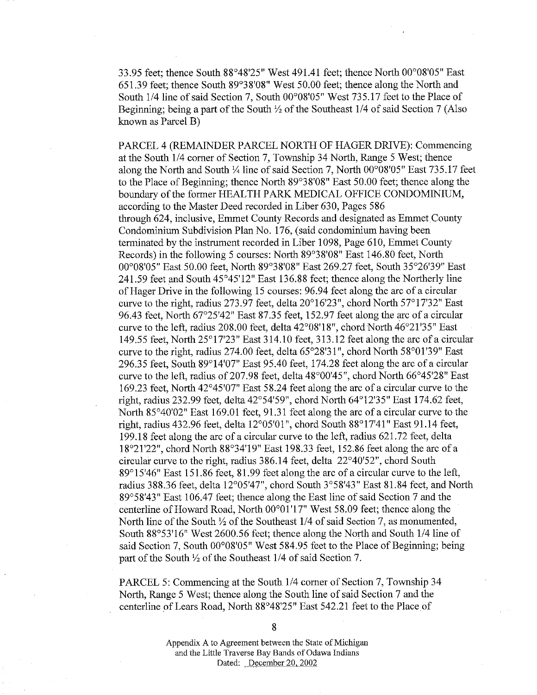33.95 feet; thence South 88°48'25" West 491.41 feet; thence North 00°08'05" East 651.39 feet; thence South 89°38'08" West 50.00 feet; thence along the North and South 1/4 line of said Section 7, South 00°08'05" West 735.17 feet to the Place of Beginning; being a part of the South *Yz* of the Southeast 114 of said Section 7 (Also known as Parcel B)

PARCEL 4 (REMAINDER PARCEL NORTH OF HAGER DRlVE): Commencing at the South 114 comer of Section 7, Township 34 North, Range 5 West; thence along the North and South *Y.* line of said Section 7, North 00°08'05" East 735.17 feet to the Place of Beginning; thence North 89°38'08" East 50.00 feet; thence along the boundary of the former HEALTH PARK MEDICAL OFFICE CONDOMINIUM, according to the Master Deed recorded in Liber 630, Pages 586 through 624, inclusive, Emmet County Records and designated as Emmet County Condominium Subdivision Plan No. 176, (said condominium having been terminated by the instrument recorded in Liber 1098, Page 610, Emmet County Records) in the following 5 courses: North 89°38'08" East 146.80 feet, North 00°08'05" East 50.00 feet, North 89°38'08" East 269.27 feet, South 35°26'39" East 241.59 feet and South 45°45'12" East 136.88 feet; thence along the Northerly line of Hager Drive in the following 15 courses: 96.94 feet along the arc of a circular curve to the right, radius 273.97 feet, delta 20°16'23", chord North 57°17'32" East 96.43 feet, North 67°25'42" East 87 .35 feet, 152.97 feet along the arc of a circular curve to the left, radius 208.00 feet, delta 42°08'18", chord North 46°21 '35" East 149.55 feet, North 25°17'23" East 314.10 feet, 313.12 feet along the arc of a circular curve to the right, radius 274.00 feet, delta 65°28'31", chord North 58°01'39" East 296.35 feet, South 89°14'07" East 95.40 feet, 174.28 feet along the arc of a circular curve to the left, radius of207.98 feet, delta 48°00'45", chord North 66°45'28" East 169.23 feet, North 42°45'07" East 58.24 feet along the arc of a circular curve to the right, radius 232.99 feet, delta 42°54'59", chord North 64°12'35" East 174.62 feet, North 85°40'02" East 169.01 feet, 91.31 feet along the arc of a circular curve to the right, radius 432.96 feet, delta 12°05'01", chord South 88°17'41" East 91.14 feet, 199 .18 feet along the arc of a circular curve to the left, radius 621. 72 feet, delta 18°21'22", chord North 88°34'19" East 198.33 feet, 152.86 feet along the arc of a circular curve to the right, radius 386.14 feet, delta 22°40'52", chord South 89°15'46" East 151.86 feet, 81.99 feet along the arc of a circular curve to the left, radius 388.36 feet, delta 12°05'47", chord South 3°58'43" East 81.84 feet, and North 89°58'43" East 106.47 feet; thence along the East line of said Section 7 and the centerline of Howard Road, North 00°01 '17" West 58.09 feet; thence along the North line of the South *Yz* of the Southeast 114 of said Section 7, as monumented, South 88°53'16" West 2600.56 feet; thence along the North and South 1/4 line of said Section 7, South 00°08'05" West 584.95 feet to the Place of Beginning; being part of the South *Yz* of the Southeast 114 of said Section 7.

PARCEL 5: Commencing at the South 1/4 comer of Section 7, Township 34 North, Range 5 West; thence along the South line of said Section 7 and the centerline of Lears Road, North 88°48'25" East 542.21 feet to the Place of

8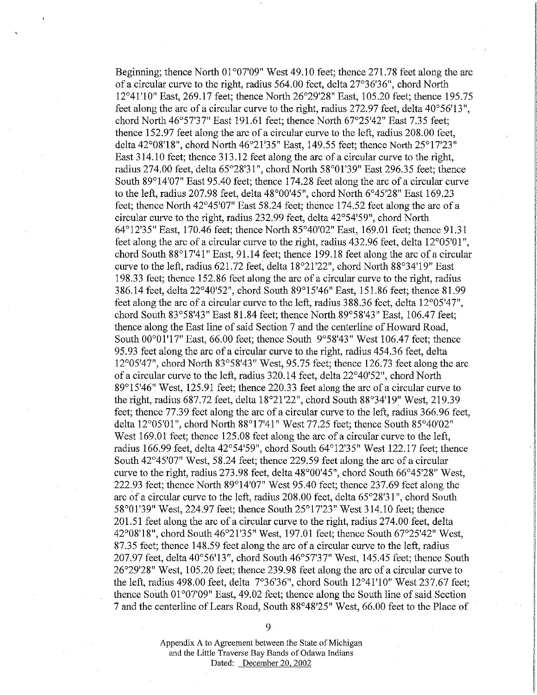Beginning; thence North 01°07'09" West 49.10 feet; thence 271.78 feet along the arc of a circular curve to the right, radius 564.00 feet, delta 27°36'36", chord North 12°41'10" East, 269.17 feet; thence North 26°29'28" East, 105.20 feet; thence 195.75 feet along the arc of a circular curve to the right, radius 272.97 feet, delta 40°56'13 ", chord North 46°57'37" East 191.61 feet; thence North 67°25'42" East 7.35 feet; thence 152.97 feet along the arc of a circular curve to the left, radius 208.00 feet, delta 42°08'18", chord North 46°21 '35" East, 149.55 feet; thence North 25°17'23" East 314.10 feet; thence 313 .12 feet along the arc of a circular curve to the right, radius 274.00 feet, delta 65°28'31", chord North 58°01'39" East 296.35 feet; thence South 89°14'07" East 95.40 feet; thence 174.28 feet along the arc of a circular curve to the left, radius 207.98 feet, delta 48°00'45", chord North 6°45'28" East 169.23 feet; thence North 42°45'07" East 58.24 feet; thence 174.52 feet along the arc of a circular curve to the right, radius 232.99 feet, delta 42°54'59", chord North 64°12'35" East, 170.46 feet; thence North 85°40'02" East, 169.01 feet; thence 91.31 feet along the arc of a circular curve to the right, radius 432.96 feet, delta 12°05'01 ", chord South 88°17'41" East, 91.14 feet; thence 199.18 feet along the arc of a circular curve to the left, radius 621.72 feet, delta 18°21'22", chord North 88°34'19" East 198.33 feet; thence 152.86 feet along the arc of a circular curve to the right, radius 386.14 feet, delta 22°40'52", chord South 89°15'46" East, 151.86 feet; thence 81.99 feet along the arc of a circular curve to the left, radius 388.36 feet, delta 12°05'47", chord South 83°58'43" East 81.84 feet; thence North 89°58'43" East, 106.47 feet; thence along the East line of said Section 7 and the centerline of Howard Road, South 00°01'17" East, 66.00 feet; thence South 9°58'43" West 106.47 feet; thence 95.93 feet along the arc of a circular curve to the right, radius 454.36 feet, delta  $12^{\circ}05'47''$ , chord North 83°58'43" West, 95.75 feet; thence 126.73 feet along the arc of a circular curve to the left, radius 320.14 feet, delta 22°40'52", chord North 89°15'46" West, 125.91 feet; thence 220.33 feet along the arc of a circular curve to the right, radius 687.72 feet, delta 18°21'22", chord South 88°34'19" West, 219.39 feet; thence 77.39 feet along the arc of a circular curve to the left, radius 366.96 feet, delta 12°05'01", chord North 88°17'41" West 77.25 feet; thence South 85°40'02" West 169.01 feet; thence 125.08 feet along the arc of a circular curve to the left, radius 166.99 feet, delta 42°54'59", chord South 64°12'35" West 122.17 feet; thence South 42°45'07" West, 58.24 feet; thence 229.59 feet along the arc of a circular curve to the right, radius 273.98 feet, delta 48°00'45", chord South 66°45'28" West, 222.93 feet; thence North 89°14'07" West 95.40 feet; thence 237.69 feet along the arc of a circular curve to the left, radius 208.00 feet, delta 65°28'31", chord South 58°01'39" West, 224.97 feet; thence South 25°17'23" West 314.10 feet; thence 201.51 feet along the arc of a circular curve to the right, radius 274.00 feet, delta 42°08'18", chord South 46°21'35" West, 197.01 feet; thence South 67°25'42" West, 87.35 feet; thence 148.59 feet along the arc of a circular curve to the left, radius 207.97 feet, delta 40°56'13", chord South 46°57'37" West, 145.45 feet; thence South 26°29'28" West, 105.20 feet; thence 239.98 feet along the arc of a circular curve to the left, radius 498.00 feet, delta 7°36'36", chord South 12°41'10" West 237.67 feet; thence South 01°07'09" East, 49.02 feet; thence along the South line of said Section 7 and the centerline of Lears Road, South 88°48'25" West, 66.00 feet to the Place of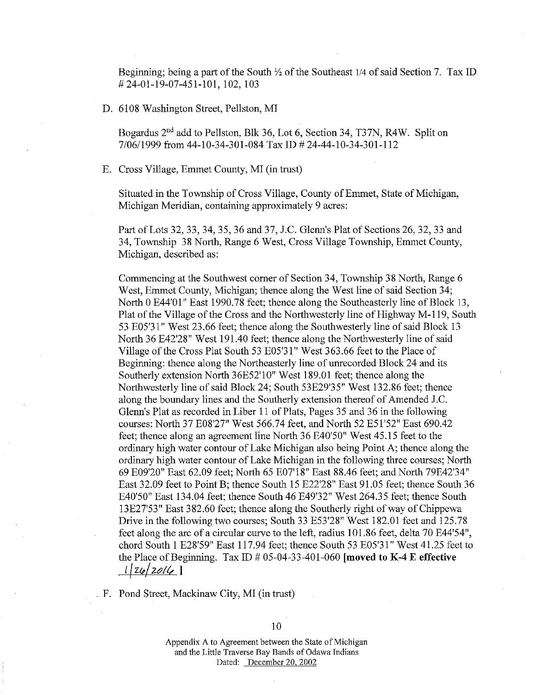Beginning; being a part of the South *Yz* of the Southeast 1/4 of said Section 7. Tax ID # 24-01-19-07-451-101, 102, 103

D. 6108 Washington Street, Pellston, MI

Bogardus 2<sup>nd</sup> add to Pellston, Blk 36, Lot 6, Section 34, T37N, R4W. Split on 7/06/1999 from 44-10-34-301-084 Tax ID # 24-44-10-34-301-112

E. Cross Village, Emmet County, MI (in trust)

Situated in the Township of Cross Village, County of Emmet, State of Michigan, Michigan Meridian, containing approximately 9 acres:

Part of Lots 32, 33, 34, 35, 36 and 37, J.C. Glenn's Plat of Sections 26, 32, 33 and 34, Township 38 North, Range 6 West, Cross Village Township, Emmet County, Michigan, described as:

Commencing at the Southwest comer of Section 34, Township 38 North, Range 6 West, Emmet County, Michigan; thence along the West line of said Section 34; North 0 E44'01" East 1990.78 feet; thence along the Southeasterly line of Block 13, Plat of the Village of the Cross and the Northwesterly line of Highway M-119, South 53 E05'3 l" West 23.66 feet; thence along the Southwesterly line of said Block 13 North 36 E42'28" West 191.40 feet; thence along the Northwesterly line of said Village of the Cross Plat South 53 E05'31" West 363.66 feet to the Place of Beginning: thence along the Northeasterly line of unrecorded Block 24 and its Southerly extension North 36E52'10" West 189.01 feet; thence along the Northwesterly line of said Block 24; South 53E29'35" West 132.86 feet; thence along the boundary lines and the Southerly extension thereof of Amended J.C. Glenn's Plat as recorded in Liber 11 of Plats, Pages 35 and 36 in the following courses: North 37 E08'27" West 566.74 feet, and North 52 E51'52" East 690.42 feet; thence along an agreement line North 36 E40'50" West 45.15 feet to the ordinary high water contour of Lake Michigan also being Point A; thence along the ordinary high water contour of Lake Michigan in the following three courses; North 69 E09'20" East 62.09 feet; North 65 E07'18" East 88.46 feet; and North 79E42'34" East 32.09 feet to Point B; thence South 15 E22'28" East 91.05 feet; thence South 36 E40'50" East 134.04 feet; thence South 46 E49'32" West 264.35 feet; thence South 13E27'53" East 382.60 feet; thence along the Southerly right of way of Chippewa Drive in the following two courses; South 33 E53'28" West 182.01 feet and 125.78 feet along the arc of a circular curve to the left, radius 101.86 feet, delta 70 E44'54", chord South 1 E28'59" East 117.94 feet; thence South 53 E05'3 l" West 41.25 feet to the Place of Beginning. Tax ID  $# 05-04-33-401-060$  [moved to K-4 E effective *t* | z*le* | zolla

\_ F. Pond Street, Mackinaw City, MI (in trust)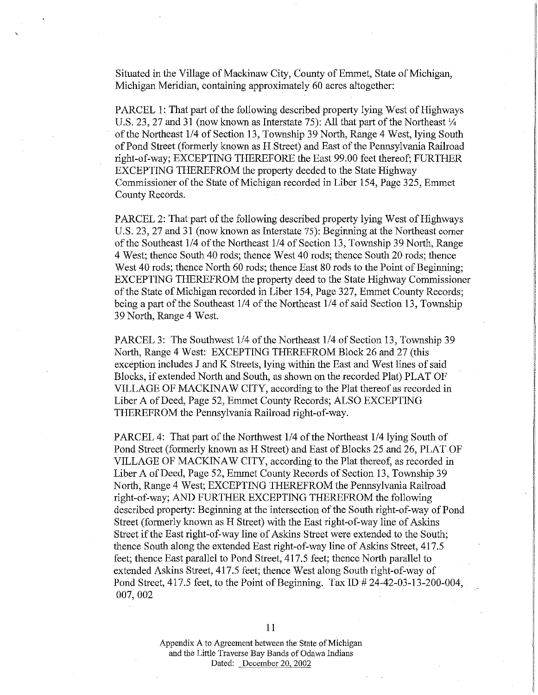Situated in the Village of Mackinaw City, County of Emmet, State of Michigan, Michigan Meridian, containing approximately 60 acres altogether:

PARCEL 1: That part of the following described property lying West of Highways U.S. 23, 27 and 31 (now known as Interstate 75): All that part of the Northeast  $\frac{1}{4}$ . of the Northeast 1/4 of Section 13, Township 39 North, Range 4 West, lying South of Pond Street (formerly known as H Street) and East of the Pennsylvania Railroad right-of-way; EXCEPTING THEREFORE the East 99.00 feet thereof; FURTHER EXCEPTING THEREFROM the property deeded to the State Highway Commissioner of the State of Michigan recorded in Liber 154, Page 325, Emmet County Records.

PARCEL 2: That part of the following described property lying West of Highways U.S. 23, 27 and 31 (now known as Interstate 75): Beginning at the Northeast corner of the Southeast 1/4 of the Northeast 1/4 of Section 13, Township 39 North, Range 4 West; thence South 40 rods; thence West 40 rods; thence South 20 rods; thence West 40 rods; thence North 60 rods; thence East 80 rods to the Point of Beginning; EXCEPTING THEREFROM the property deed to the State Highway Commissioner of the State of Michigan recorded in Liber 154, Page 327, Emmet County Records; being a part of the Southeast 1/4 of the Northeast 1/4 of said Section 13, Township 39 North, Range 4 West.

PARCEL 3: The Southwest 1/4 of the Northeast 1/4 of Section 13, Township 39 North, Range 4 West: EXCEPTING THEREFROM Block 26 and 27 (this exception includes J and K Streets, lying within the East and West lines of said Blocks, if extended North and South, as shown on the recorded Plat) PLAT OF VILLAGE OF MACKINAW CITY, according to the Plat thereof as recorded in Liber A of Deed, Page 52, Emmet County Records; ALSO EXCEPTING THEREFROM the Pennsylvania Railroad right-of-way.

PARCEL 4: That part of the Northwest 1/4 of the Northeast 1/4 lying South of Pond Street (formerly known as H Street) and East of Blocks 25 and 26, PLAT OF VILLAGE OF MACKINAW CITY, according to the Plat thereof, as recorded in Liber A of Deed, Page 52, Emmet County Records of Section 13, Township 39 North, Range 4 West; EXCEPTING THEREFROM the Pennsylvania Railroad right-of-way; AND FURTHER EXCEPTING THEREFROM the following described property: Beginning at the intersection of the South right-of-way of Pond Street (formerly known as H Street) with the East right-of-way line of Askins Street if the East right-of-way line of Askins Street were extended to the South; thence South along the extended East right-of-way line of Askins Street, 417.5 feet; thence East parallel to Pond Street, 417.5 feet; thence North parallel to extended Askins Street, 417.5 feet; thence West along South right-of-way of Pond Street, 417.5 feet, to the Point of Beginning. Tax ID # 24-42-03-13-200-004, 007,002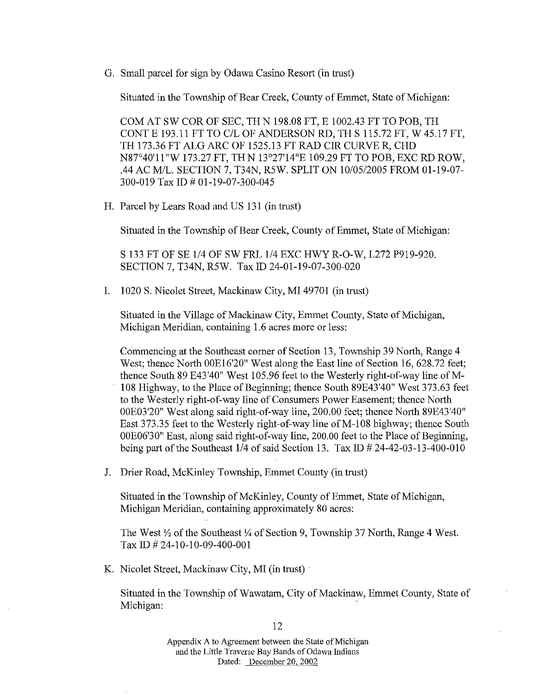G. Small parcel for sign by Odawa Casino Resort (in trust)

Situated in the Township of Bear Creek, County of Emmet, State of Michigan:

COM AT SW COR OF SEC, THN 198.08 FT, E 1002.43 FT TO POB, TH CONTE 193.11 FT TO C/L OF ANDERSON RD, TH S 115.72 FT, W 45.17 FT, TH 173.36 FT ALG ARC OF 1525.13 FT RAD CIR CURVE R, CHD N87°40'll"W 173.27 FT, THN 13°27'14"E 109.29 FT TO POB, EXC RD ROW, .44 AC MIL. SECTION 7, T34N, R5W. SPLIT ON 10/05/2005 FROM 01-19-07- 300-019 Tax ID# 01-19-07-300-045

H. Parcel by Lears Road and US 131 (in trust)

Situated in the Township of Bear Creek, County of Emmet, State of Michigan:

S 133 FT OF SE 1/4 OF SWFRL 1/4 EXC HWY R-0-W, L272 P919-920. SECTION 7, T34N, R5W. Tax ID 24-01-19-07-300-020

I. 1020 S. Nicolet Street, Mackinaw City, MI 49701 (in trust)

Situated in the Village of Mackinaw City, Emmet County, State of Michigan, Michigan Meridian, containing 1.6 acres more or less:

Commencing at the Southeast comer of Section 13, Township 39 North, Range 4 West; thence North OOE16'20" West along the East line of Section 16, 628.72 feet; thence South 89 E43'40" West 105.96 feet to the Westerly right-of-way line of M-108 Highway, to the Place of Beginning; thence South 89E43'40" West 373.63 feet to the Westerly right-of-way line of Consumers Power Easement; thence North OOE03'20" West along said right-of-way line, 200.00 feet; thence North 89E43'40" East 373.35 feet to the Westerly right-of-way line of M-108 highway; thence South OOE06'30" East, along said right-of-way line, 200.00 feet to the Place of Beginning, being part of the Southeast  $1/4$  of said Section 13. Tax ID  $\# 24-42-03-13-400-010$ 

J. Drier Road, McKinley Township, Emmet County (in trust)

Situated in the Township of McKinley, County of Emmet, State of Michigan, Michigan Meridian, containing approximately 80 acres:

The West  $\frac{1}{2}$  of the Southeast  $\frac{1}{4}$  of Section 9, Township 37 North, Range 4 West. Tax ID# 24-10-10-09-400-001

K. Nicolet Street, Mackinaw City, MI (in trust)

Situated in the Township of Wawatam, City of Mackinaw, Emmet County, State of Michigan: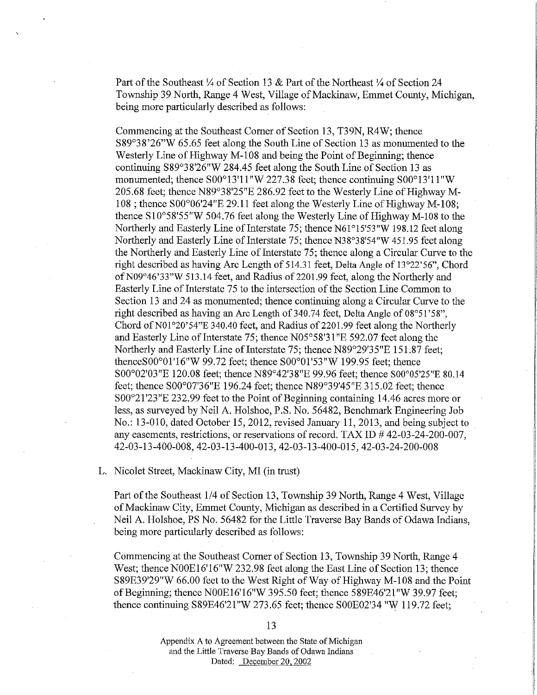Part of the Southeast  $\frac{1}{4}$  of Section 13 & Part of the Northeast  $\frac{1}{4}$  of Section 24 Township 39 North, Range 4 West, Village of Mackinaw, Ennnet County, Michigan, being more particularly described as follows:

Connnencing at the Southeast Comer of Section 13, T39N, R4W; thence S89°38'26"W 65.65 feet along the South Line of Section 13 as momnnented to the Westerly Line of Highway M-108 and being the Point of Beginning; thence continuing S89°38'26"W 284.45 feet along the South Line of Section 13 as monumented; thence S00°13'11"W227.38 feet; thence continuing S00°13'11 "W 205.68 feet; thence N89°38'25"E 286.92 feet to the Westerly Line of Highway M-108; thence S00°06'24"E 29.11 feet along the Westerly Line of Highway M-108; thence Sl0°58'55"W 504.76 feet along the Westerly Line of Highway M-108 to the Northerly and Easterly Line of Interstate 75; thence N61°15'53"W 198.12 feet along Northerly and Easterly Line of Interstate 75; thence N38°38'54"W 451.95 feet along the Northerly and Easterly Line of Interstate 75; thence along a Circular Curve to the right described as having Arc Length of 514.31 feet, Delta Angle of 13°22'56", Chord of N09°46'33"W 513.14 feet, and Radius of 2201.99 feet, along the Northerly and Easterly Line of Interstate 75 to the intersection of the Section Line Common to Section 13 and 24 as monumented; thence continuing along a Circular Curve to the right described as having an Arc Length of 340.74 feet, Delta Angle of 08°51'58", Chord of N01°20'54"E 340.40 feet, and Radius of 2201.99 feet along the Northerly and Easterly Line of Interstate 75; thence  $N05^{\circ}58'31''E 592.07$  feet along the Northerly and Easterly Line of Interstate 75; thence N89°29'35"E 151.87 feet; thenceS00°0l '16"W 99.72 feet; thence S00°01'53"W 199.95 feet; thence S00°02'03"E 120.08 feet; thence N89°42'38"E 99.96 feet; thence S00°05'25"E 80.14 feet; thence S00°07'36"E 196.24 feet; thence N89°39'45"E 315.02 feet; thence S00°21'23"E 232.99 feet to the Point of Beginning containing 14.46 acres more or less, as surveyed by Neil A. Holshoe, P.S. No. 56482, Benchmark Engineering Job No.: 13-010, dated October 15, 2012, revised January 11, 2013, and being subject to any easements, restrictions, or reservations of record. TAX ID  $#$  42-03-24-200-007, 42-03-13-400-008,42-03-13-400-013,42-03-13-400-015,42-03-24-200-008

L. Nicolet Street, Mackinaw City, MI (in trust)

Part of the Southeast 1/4 of Section 13, Township 39 North, Range 4 West, Village of Mackinaw City, Emmet County, Michigan as described in a Certified Survey by Neil A. Holshoe, PS No. 56482 for the Little Traverse Bay Bands of Odawa Indians, being more particularly described as follows:

Connnencing at the Southeast Comer of Section 13, Township 39 North, Range 4 West; thence NOOE16'16"W 232.98 feet along the East Line of Section 13; thence S89E39'29"W 66.00 feet to the West Right of Way of Highway M-108 and the Point of Beginning; thence NOOE16'16"W 395.50 feet; thence 589E46'21"W39.97 feet; thence continuing S89E46'2l"W 273.65 feet; thence SOOE02'34 "W 119.72 feet;

13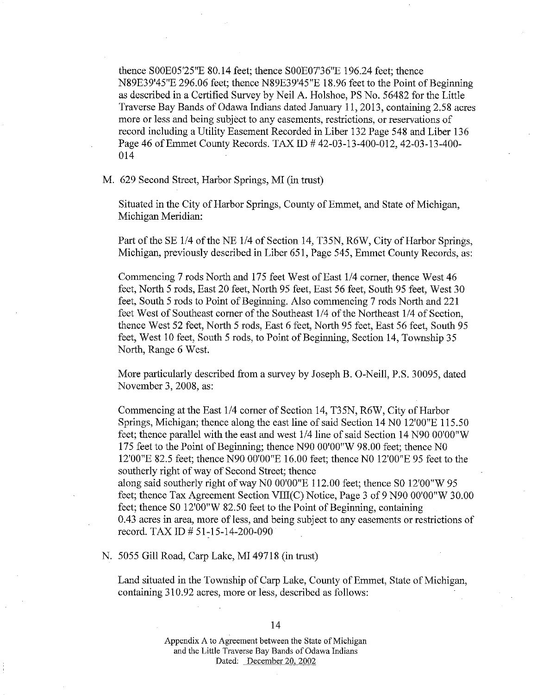thence SOOE05'25"E 80.14 feet; thence SOOE07'36"E 196.24 feet; thence N89E39'45"E 296.06 feet; thence N89E39'45"E 18.96 feet to the Point of Beginning as described in a Certified Survey by Neil A. Holshoe, PS No. 56482 for the Little Traverse Bay Bands of Odawa Indians dated January 11, 2013, containing 2.58 acres more or less and being subject to any easements, restrictions, or reservations of record including a Utility Easement Recorded in Liber 132 Page 548 and Liber 136 Page 46 of Emmet County Records. TAX ID # 42-03-13-400-012, 42-03-13-400-014

M. 629 Second Street, Harbor Springs, MI (in trust)

Situated in the City of Harbor Springs, County of Emmet, and State of Michigan, Michigan Meridian:

Part of the SE 1/4 of the NE 1/4 of Section 14, T35N, R6W, City of Harbor Springs, Michigan, previously described in Liber 651, Page 545, Emmet County Records, as:

Commencing 7 rods North and 175 feet West of East 1/4 comer, thence West 46 feet, North 5 rods, East 20 feet, North 95 feet, East 56 feet, South 95 feet, West 30 feet, South 5 rods to Point of Beginning. Also commencing 7 rods North and 221 feet West of Southeast corner of the Southeast 1/4 of the Northeast 1/4 of Section, thence West 52 feet, North 5 rods, East 6 feet, North 95 feet, East 56 feet, South 95 feet, West 10 feet, South 5 rods, to Point of Beginning, Section 14, Township 35 North, Range 6 West.

More particularly described from a survey by Joseph B. 0-Neill, P.S. 30095, dated November 3, 2008, as:

Commencing atthe East 1/4 comer of Section 14, T35N, R6W, City of Harbor Springs, Michigan; thence along the east line of said Section 14 NO 12'00"E 115.50 feet; thence parallel with the east and west 1/4 line of said Section 14 N90 OO'OO"W 175 feet to the Point of Beginning; thence N90 OO'OO"W 98.00 feet; thence NO 12'00"E 82.5 feet; thence N90 OO'OO"E 16.00 feet; thence NO 12'00"E 95 feet to the southerly right of way of Second Street; thence along said southerly right of way NO OO'OO"E 112.00 feet; thence SO 12'00"W 95 feet; thence Tax Agreement Section VIII(C) Notice, Page 3 of 9 N90 OO'OO"W 30.00

feet; thence SO 12'00"W 82.50 feet to the Point of Beginning, containing 0.43 acres in area, more of less, and being subject to any easements or restrictions of record. TAX ID # 51-15-14-200-090

N. 5055 Gill Road, Carp Lake, MI 49718 (in trust)

Land situated in the Township of Carp Lake, County of Emmet, State of Michigan, containing 310.92 acres, more or less, described as follows: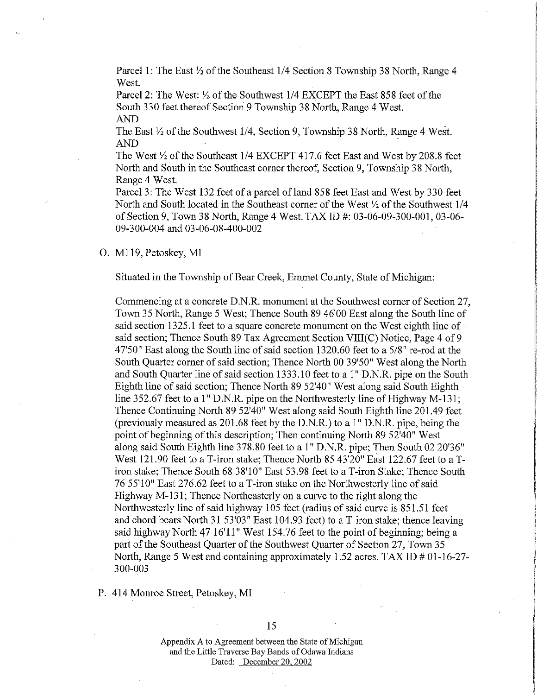Parcel 1: The East *Yi* of the Southeast 1/4 Section 8 Township 38 North, Range 4 West.

Parcel 2: The West: *Yi* of the Southwest 1/4 EXCEPT the East 858 feet of the South 330 feet thereof Section 9 Township 38 North, Range 4 West. AND

The East *Yi* of the Southwest 1/4, Section 9, Township 38 North, Range 4 West. AND

The West *Yi* of the Southeast 1/4 EXCEPT 417.6 feet East and West by208.8 feet North and South in the Southeast corner thereof, Section 9, Township 38 North, Range 4 West.

Parcel 3: The West 132 feet of a parcel ofland 858 feet East and West by 330 feet North and South located in the Southeast corner of the West *Yi* of the Southwest 1/4 of Section 9, Town 38 North, Range 4 West. TAX ID #: 03-06-09-300-001, 03-06-09-300-004 and 03-06-08-400-002

0. M119, Petoskey, MI

Situated in the Township of Bear Creek, Emmet County, State of Michigan:

Commencing at a concrete D.N.R. monument at the Southwest corner of Section 27, Town 35 North, Range 5 West; Thence South 89 46'00 East along the South line of said section 1325.1 feet to a square concrete monument on the West eighth line of said section; Thence South 89 Tax Agreement Section VIII(C) Notice, Page 4 of 9 47'50" East along the South line of said section 1320.60 feet to a 5/8" re-rod at the South Quarter corner of said section; Thence North 00 39'50" West along the North and South Quarter line of said section 1333 .10 feet to a 1" D.N.R. pipe on the South Eighth line of said section; Thence North 89 52'40" West along said South Eighth line 352.67 feet to a 1" D.N.R. pipe on the Northwesterly line of Highway M-131; Thence Continuing North 89 52'40" West along said South Eighth line 201.49 feet (previously measured as 201.68 feet by the D.N.R.) to a 1" D.N.R. pipe, being the point of beginning of this description; Then continuing North 89 52'40" West along said South Eighth line 378.80 feet to a 1" D.N.R. pipe; Then South 02 20'36" West 121.90 feet to a T-iron stake; Thence North 85 43'20" East 122.67 feet to a Tiron stalce; Thence South 68 38'10" East 53.98 feet to a T-iron Stalce; Thence South 76 55'10" East 276.62 feet to a T-iron stalce on the Northwesterly line of said Highway M-131; Thence Northeasterly on a curve to the right along the Northwesterly line of said highway 105 feet (radius of said curve is 851.51 feet and chord bears North 31 53'03" East 104.93 feet) to a T-iron stake; thence leaving said highway North 47 16'11" West 154.76 feet to the point of beginning; being a part of the Southeast Quarter of the Southwest Quarter of Section 27, Town 35 North, Range 5 West and containing approximately 1.52 acres. TAX ID  $\#$  01-16-27-300-003

P. 414 Momoe Street, Petoskey, MI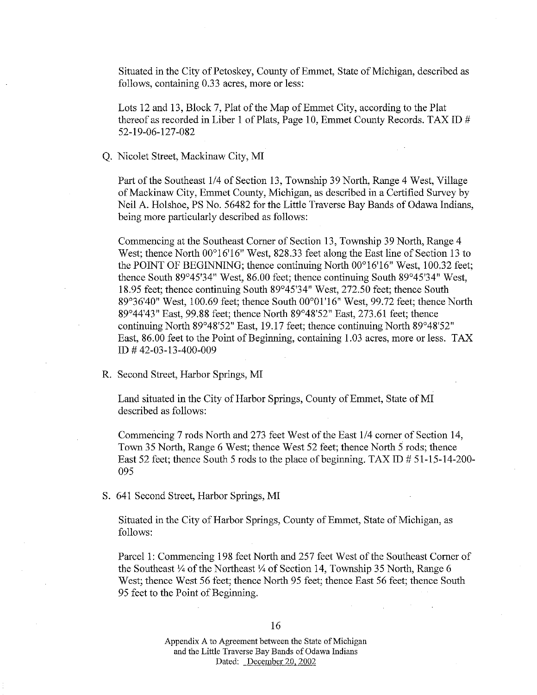Situated in the City of Petoskey, County of Emmet, State of Michigan, described as follows, containing 0.33 acres, more or less:

Lots 12 and 13, Block 7, Plat of the Map of Emmet City, according to the Plat thereof as recorded in Liber 1 of Plats, Page 10, Emmet County Records. TAX ID  $#$ 52-19-06-127-082

#### Q. Nicolet Street, Mackinaw City, MI

Part of the Southeast 1/4 of Section 13, Township 39 North, Range 4 West, Village of Mackinaw City, Emmet County, Michigan, as described in a Certified Survey by Neil A. Holshoe, PS No. 56482 for the Little Traverse Bay Bands of Odawa Indians, being more particularly described as follows:

Commencing at the Southeast Comer of Section 13, Township 39 North, Range 4 West; thence North 00°16'16" West, 828.33 feet along the East line of Section 13 to the POINT OF BEGINNING; thence continuing North 00°16'16" West, 100.32 feet; thence South 89°45'34" West, 86.00 feet; thence continuing South 89°45'34" West, 18.95 feet; thence continuing South 89°45'34" West, 272.50 feet; thence South 89°36'40" West, 100.69 feet; thence South 00°01'16" West, 99.72 feet; thence North 89°44'43" East, 99.88 feet; thence North 89°48'52" East, 273.61 feet; thence continuing North 89°48'52" East, 19.17 feet; thence continuing North 89°48'52" East, 86.00 feet to the Point of Beginning, containing 1.03 acres, more or less. TAX ID # 42-03-13-400-009

R. Second Street, Harbor Springs, MI

Land situated in the City of Harbor Springs, County of Emmet, State of MI described as follows:

Commencing 7 rods North and 273 feet West of the East 1/4 comer of Section 14, Town 35 North, Range 6 West; thence West 52 feet; thence North 5 rods; thence East 52 feet; thence South 5 rods to the place of beginning. TAX ID  $# 51-15-14-200-$ 095

S. 641 Second Street, Harbor Springs, MI

Situated in the City of Harbor Springs, County of Emmet, State of Michigan, as follows:

Parcel 1: Commencing 198 feet North and 257 feet West of the Southeast Comer of the Southeast *Y,* of the Northeast *Y,* of Section 14, Township 35 North, Range 6 West; thence West 56 feet; thence North 95 feet; thence East 56 feet; thence South 95 feet to the Point of Beginning.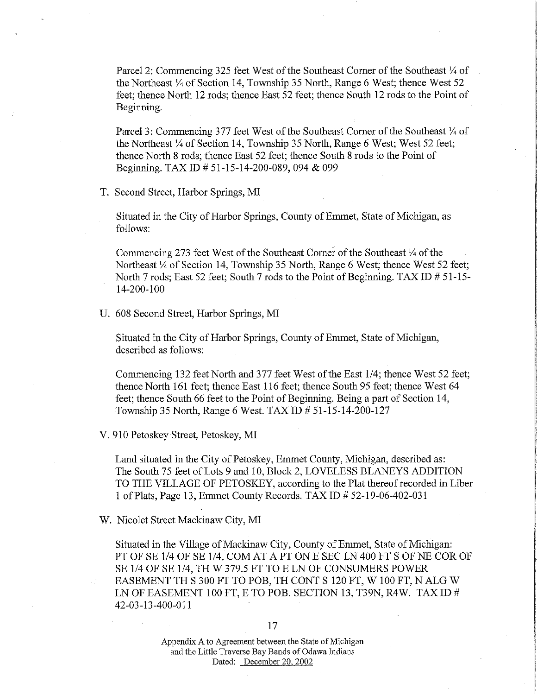Parcel 2: Commencing 325 feet West of the Southeast Corner of the Southeast  $\frac{1}{4}$  of the Northeast  $\frac{1}{4}$  of Section 14, Township 35 North, Range 6 West; thence West 52 feet; thence North 12 rods; thence East 52 feet; thence South 12 rods to the Point of Beginning.

Parcel 3: Commencing 377 feet West of the Southeast Corner of the Southeast  $\frac{1}{4}$  of the Northeast 1/4 of Section 14, Township 35 North, Range 6 West; West 52 feet; thence North 8 rods; thence East 52 feet; thence South 8 rods to the Point of Beginning. TAX ID# 51-15-14-200-089, 094 & 099

T. Second Street, Harbor Springs, MI

Situated in the City of Harbor Springs, County of Emmet, State of Michigan, as follows:

Commencing 273 feet West of the Southeast Corner of the Southeast  $\frac{1}{4}$  of the Northeast 1/4 of Section 14, Township 35 North, Range 6 West; thence West 52 feet; North 7 rods; East 52 feet; South 7 rods to the Point of Beginning. TAX ID  $\# 51-15-$ 14-200-100

U. 608 Second Street, Harbor Springs, MI

Situated in the City of Harbor Springs, County of Emmet, State of Michigan, described as follows:

Commencing 132 feet North and 377 feet West of the East 1/4; thence West 52 feet; thence North 161 feet; thence East 116 feet; thence South 95 feet; thence West 64 feet; thence South 66 feet to the Point of Beginning. Being a part of Section 14, Township 35 North, Range 6 West. TAX ID # 51-15-14-200-127

V. 910 Petoskey Street, Petoskey, MI

Land situated in the City of Petoskey, Emmet County, Michigan, described as: The South 75 feet of Lots 9 and 10, Block 2, LOVELESS BLANEYS ADDITION TO THE VILLAGE OF PETOSKEY, according to the Plat thereof recorded in Liber 1 of Plats, Page 13, Emmet County Records. TAX ID # 52-19-06-402-031

W. Nicolet Street Mackinaw City, MI

Situated in the Village of Mackinaw City, County of Emmet, State of Michigan: PT OF SE 1/4 OF SE 1/4, COM AT A PT ON E SEC LN 400 FT S OF NE COR OF SE 1/4 OF SE 1/4, TH W 379.5 FT TO E LN OF CONSUMERS POWER EASEMENT TH S 300 FT TO POB, TH CONT S 120 FT, W 100 FT, N ALG W LN OF EASEMENT 100 FT, E TO POB. SECTION 13, T39N, R4W. TAX ID  $#$ 42-03-13-400-011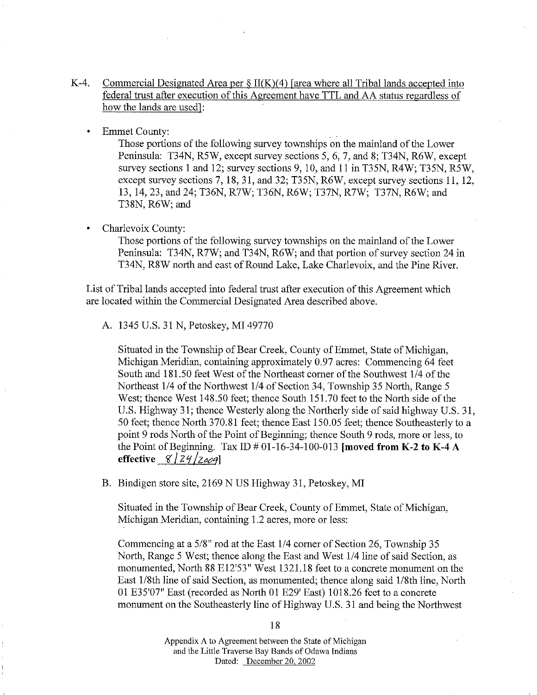- K-4. Commercial Designated Area per  $\S$  II(K)(4) [area where all Tribal lands accepted into federal trust after execution of this Agreement have TTL and AA status regardless of how the lands are used]:
	- Emmet County:

Those portions of the following survey townships on the mainland of the Lower Peninsula: T34N, R5W, except survey sections 5, 6, 7, and 8; T34N, R6W, except survey sections 1 and 12; survey sections 9, 10, and 11 in T35N, R4W; T35N, R5W, except survey sections 7, 18, 31, and 32; T35N, R6W, except survey sections 11, 12, 13, 14, 23, and 24; T36N, R7W; T36N, R6W; T37N, R7W; T37N, R6W; and T38N, R6W; and

## Charlevoix County:

Those portions of the following survey townships on the mainland of the Lower Peninsula: T34N, R7W; and T34N, R6W; and that portion of survey section 24 in T34N, R8W north and east of Round Lake, Lake Charlevoix, and the Pine River.

List of Tribal lands accepted into federal trust after execution of this Agreement which are located within the Commercial Designated Area described above.

A. 1345 U.S. 31 N, Petoskey, MI 49770

Situated in the Township of Bear Creek, County of Emmet, State of Michigan, Michigan Meridian, containing approximately 0.97 acres: Commencing 64 feet South and 181.50 feet West of the Northeast comer of the Southwest 1/4 of the Northeast 114 of the Northwest 1/4 of Section 34, Township 35 North, Range 5 West; thence West 148.50 feet; thence South 151.70 feet to the North side of the U.S. Highway 31; thence Westerly along the Northerly side of said highway U.S. 31, 50 feet; thence North 370.81 feet; thence East 150.05 feet; thence Southeasterly to a point 9 rods North of the Point of Beginning; thence South 9 rods, more or less, to the Point of Beginning. Tax ID  $\#$  01-16-34-100-013 **[moved from K-2 to K-4 A effective**  $8 \mid 24 / 2009$ 

B. Bindigen store site, 2169 NUS Highway 31, Petoskey, MI

Situated in the Township of Bear Creek, County of Emmet, State of Michigan, Michigan Meridian, containing 1.2 acres, more or less:

Commencing at a 5/8" rod at the East 1/4 comer of Section 26, Township 35 North, Range 5 West; thence along the East and West 1/4 line of said Section, as monumented, North 88 E12'53" West 1321.18 feet to a concrete monument on the East 1/8th line of said Section, as monumented; thence along said I/8th line, North 01 E35'07" East (recorded as North 01 E29' East) 1018.26 feet to a concrete monument on the Southeasterly line of Highway U.S. 31 and being the Northwest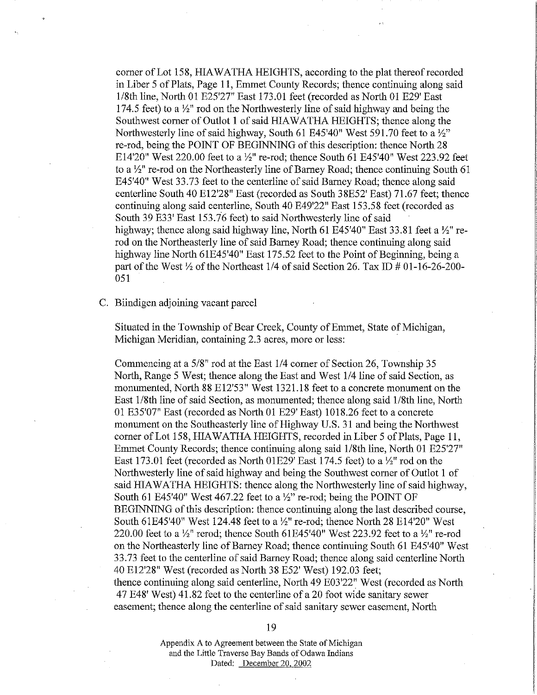corner of Lot 158, HIAWATHA HEIGHTS, according to the plat thereof recorded in Liber 5 of Plats, Page 11, Ennnet County Records; thence continuing along said 1/8th line, North 01 E25'27" East 173.01 feet (recorded as North 01 E29' East 174.5 feet) to a *Yz"* rod on the Northwesterly line of said highway and being the Southwest comer of Outlot 1 of said HIAWATHA HEIGHTS; thence along the Northwesterly line of said highway, South 61 E45'40" West 591.70 feet to a *Yz"*  re-rod, being the POINT OF BEGINNING of this description: thence North 28 E14'20" West 220.00 feet to a *Yz"* re-rod; thence South 61 E45'40" West 223.92 feet to a <sup>1</sup>/<sub>2</sub>" re-rod on the Northeasterly line of Barney Road; thence continuing South 61 E45'40" West 33.73 feet to the centerline of said Barney Road; thence along said centerline South 40 E12'28" East (recorded as South 38E52' East) 71.67 feet; thence continuing along said centerline, South 40 E49'22" East 153.58 feet (recorded as South 39 E33' East 153.76 feet) to said Northwesterly line of said highway; thence along said highway line, North 61 E45'40" East 33.81 feet a *Yz"* rerod on the Northeasterly line of said Barney Road; thence continuing along said highway line North 61E45'40" East 175.52 feet to the Point of Beginning, being a part of the West  $\frac{1}{2}$  of the Northeast 1/4 of said Section 26. Tax ID  $\#$  01-16-26-200-051

C. Biindigen adjoining vacant parcel

Situated in the Township of Bear Creek, County of Emmet, State of Michigan, Michigan Meridian, containing 2.3 acres, more or less:

Commencing at a 5/8" rod at the East 1/4 comer of Section 26, Township 35 North, Range 5 West; thence along the East and West 114 line of said Section, as monumented, North 88 E12'53" West 1321.18 feet to a concrete monument on the East l/8th line of said Section, as monumented; thence along said 1/8th line, North 01 E35'07" East (recorded as North 01 E29' East) 1018.26 feet to a concrete monument on the Southeasterly line of Highway U.S. 31 and being the Northwest comer of Lot 158, HIAWATHA HEIGHTS, recorded in Liber 5 of Plats, Page 11, Ennnet County Records; thence continuing along said 1/8th line, North 01 E25'27" East 173.01 feet (recorded as North 01E29' East 174.5 feet) to a *Yz"* rod on the Northwesterly line of said highway and being the Southwest comer of Outlot 1 of said HIAWATHA HEIGHTS: thence along the Northwesterly line of said highway, South 61 E45'40" West 467.22 feet to a *Yz"* re-rod; being the POINT OF BEGINNING of this description: thence continuing along the last described course, South 61E45'40" West 124.48 feet to a *Yz"* re-rod; thence North 28 E14'20" West 220.00 feet to a *Yz"* rerod; thence South 61E45'40" West 223.92 feet to a *Yz"* re-rod on the Northeasterly line of Barney Road; thence continuing South 61 E45'40" West 33.73 feet to the centerline of said Barney Road; thence along said centerline North 40 El2'28" West (recorded as North 38 E52' West) 192.03 feet; thence continuing along said centerline, North 49 E03'22" West (recorded as North 47 E48' West) 41.82 feet to the centerline of a 20 foot wide sanitary sewer easement; thence along the centerline of said sanitary sewer easement, North

> Appendix A to Agreement between the State of Michigan and the Little Traverse Bay Bands of Odawa Indians Dated: December 20, 2002

19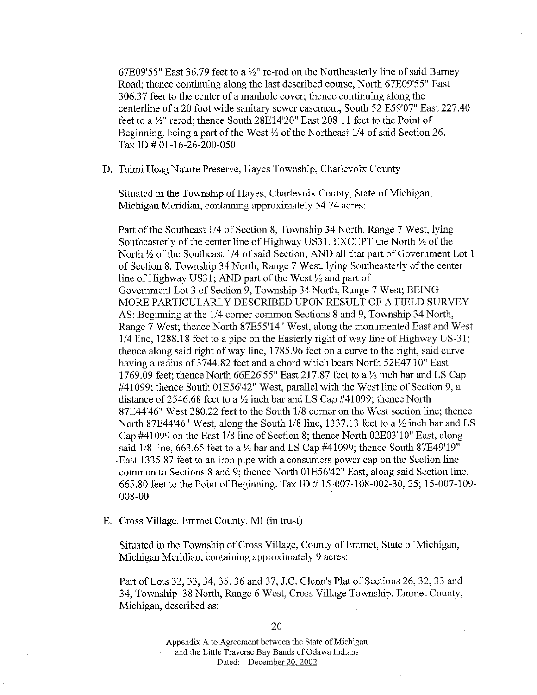67E09'55" East 36.79 feet to a  $\frac{1}{2}$ " re-rod on the Northeasterly line of said Barney Road; thence continuing along the last described course, North 67E09'55" East 306.37 feet to the center of a manhole cover; thence continuing along the centerline of a 20 foot wide sanitary sewer easement, South 52 E59'07" East 227.40 feet to a *Yz"* rerod; thence South 28El 4'20" East 208.11 feet to the Point of Beginning, being a part of the West *Yz* of the Northeast 1/4 of said Section 26. Tax ID# 01-16-26-200-050

D. Taimi Hoag Nature Preserve, Hayes Township, Charlevoix County

Situated in the Township of Hayes, Charlevoix County, State of Michigan, Michigan Meridian, containing approximately 54.74 acres:

Part of the Southeast 114 of Section 8, Township 34 North, Range 7 West, lying Southeasterly of the center line of Highway US31, EXCEPT the North *Yz* of the North *Yz* of the Southeast 1/4 of said Section; AND all that part of Government Lot 1 of Section 8, Township 34 North, Range 7 West, lying Southeasterly of the center line of Highway US3 l; AND part of the West *Yz* and part of Government Lot 3 of Section 9, Township 34 North, Range 7 West; BEING MORE PARTICULARLY DESCRIBED UPON RESULT OF A FIELD SURVEY AS: Beginning at the 1/4 comer common Sections 8 and 9, Township 34 North, Range 7 West; thence North 87E55'14" West, along the monumented East and West 1/4 line, 1288.18 feet to a pipe on the Easterly right of way line of Highway US-31; thence along said right of way line, 1785.96 feet on a curve to the right, said curve having a radius of 3744.82 feet and a chord which bears North 52E47'10" East 1769.09 feet; thence North 66E26'55" East 217.87 feet to a *Yz* inch bar and LS Cap #41099; thence South OlE56'42" West, parallel with the West line of Section 9, a distance of2546.68 feet to a *Yz* inch bar and LS Cap #41099; thence North 87E44'46" West 280.22 feet to the South 1/8 comer on the West section line; thence North 87E44'46" West, along the South 1/8 line, 1337.13 feet to a *Yz* inch bar and LS Cap #41099 on the East 1/8 line of Section 8; thence North 02E03'10" East, along said 1/8 line, 663.65 feet to a *Yz* bar and LS Cap #41099; thence South 87E49'19" East 1335.87 feet to an iron pipe with a consumers power cap on the Section line common to Sections 8 and 9; thence North 01E56'42" East, along said Section line, 665.80 feet to the Point of Beginning. Tax ID# 15-007-108-002-30, 25; 15-007-109- 008-00

E. Cross Village, Emmet County, MI (in trust)

Situated in the Township of Cross Village, County of Emmet, State of Michigan, Michigan Meridian, containing approximately 9 acres:

Part of Lots 32, 33, 34, 35, 36 and 37, J.C. Glenn's Plat of Sections 26, 32, 33 and 34, Township 38 North, Range 6 West, Cross Village Township, Emmet County, Michigan, described as: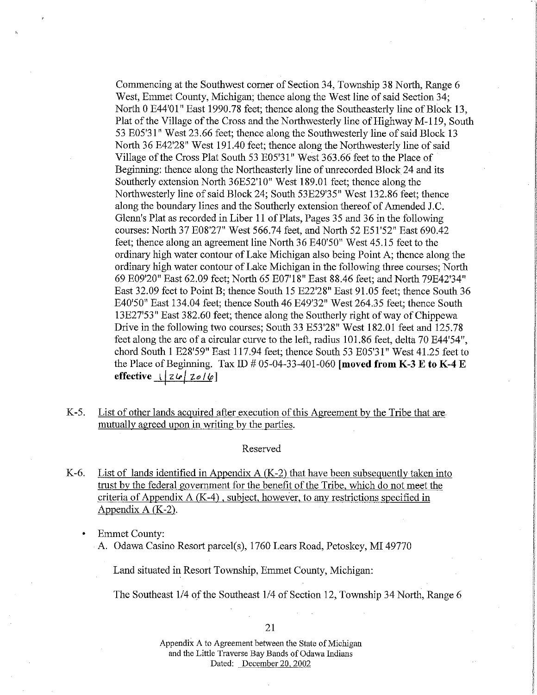Commencing at the Southwest comer of Section 34, Township 38 North, Range 6 West, Emmet County, Michigan; thence along the West line of said Section 34; North 0 E44'01" East 1990.78 feet; thence along the Southeasterly line of Block 13, Plat of the Village of the Cross and the Northwesterly line of Highway M-119, South 53 E05'31" West 23.66 feet; thence along the Southwesterly line of said Block 13 North 36 E42'28" West 191.40 feet; thence along the Northwesterly line of said Village of the Cross Plat South 53 E05'31" West 363.66 feet to the Place of Beginning: thence along the Northeasterly line of unrecorded Block 24 and its Southerly extension North 36E52'10" West 189.01 feet; thence along the Northwesterly line of said Block 24; South 53E29'35" West 132.86 feet; thence along the boundary lines and the Southerly extension thereof of Amended J.C. Glenn's Plat as recorded in Liber 11 of Plats, Pages 35 and 36 in the following courses: North 37 E08'27" West 566.74 feet, and North 52 E51'52" East 690.42 feet; thence along an agreement line North 36 E40'50" West 45.15 feet to the ordinary high water contour of Lake Michigan also being Point A; thence along the ordinary high water contour of Lake Michigan in the following three courses; North 69 E09'20" East 62.09 feet; North 65 E07'18" East 88.46 feet; and North 79E42'34" East 32.09 feet to Point B; thence South 15 E22'28" East 91.05 feet; thence South 36 E40'50" East 134.04 feet; thence South 46 E49'32" West 264.35 feet; thence South 13E27'53" East 382.60 feet; thence along the Southerly right of way of Chippewa Drive in the following two courses; South 33 E53'28" West 182.01 feet and 125.78 feet along the arc of a circular curve to the left, radius 101.86 feet, delta 70 E44'54", chord South 1 E28'59" East 117.94 feet; thence South 53 E05'31" West 41.25 feet to the Place of Beginning. Tax ID  $\#$  05-04-33-401-060 **[moved from K-3 E to K-4 E**  $\text{effective}$   $\frac{1}{2}$   $\frac{1}{2}$   $\frac{1}{2}$   $\frac{1}{2}$   $\frac{1}{2}$ 

K-5. List of other lands acquired after execution of this Agreement by the Tribe that are mutually agreed upon in writing by the parties.

#### Reserved

- K-6. List of lands identified in Appendix  $A$  (K-2) that have been subsequently taken into trust by the federal government for the benefit of the Tribe, which do not meet the criteria of Appendix A (K-4), subject, however, to any restrictions specified in Appendix A (K-2).
	- Emmet County: A. Odawa Casino Resort parcel(s), 1760 Lears Road, Petoskey, MI 49770

Land situated in Resort Township, Emmet County, Michigan:

The Southeast 1/4 of the Southeast 1/4 of Section 12, Township 34 North, Range 6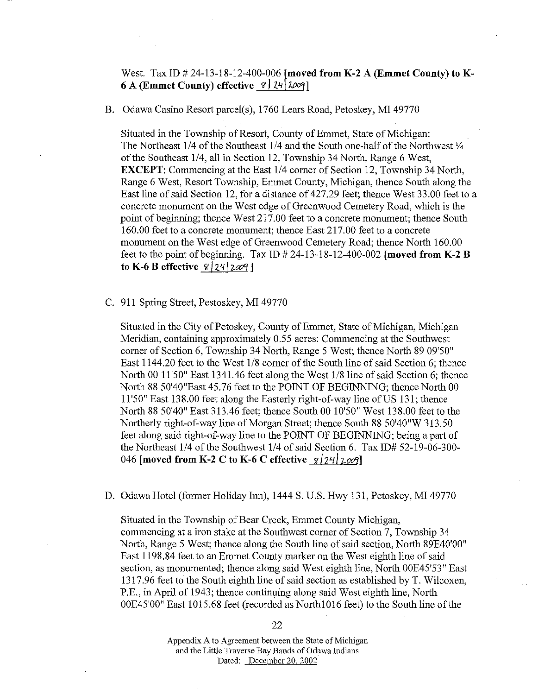# West. Tax ID # 24-13-18-12-400-006 [moved from **K-2 A (Emmet County) to K-6 A (Emmet County) effective**  $\mathcal{C}$  |  $\mathcal{Z}$  |  $\mathcal{Z}$  |  $\mathcal{Z}$  |  $\mathcal{Z}$  |  $\mathcal{Z}$  |  $\mathcal{Z}$  |  $\mathcal{Z}$  |  $\mathcal{Z}$  |  $\mathcal{Z}$  |  $\mathcal{Z}$  |  $\mathcal{Z}$  |  $\mathcal{Z}$  |  $\mathcal{Z}$  |  $\mathcal{Z}$  |  $\mathcal{Z}$  |  $\mathcal{Z}$  |  $\math$

B. Odawa Casino Resort parcel(s), 1760 Lears Road, Petoskey, MI 49770

Situated in the Township of Resort, County of Emmet, State of Michigan: The Northeast 1/4 of the Southeast 1/4 and the South one-half of the Northwest *Y.*  of the Southeast 1/4, all in Section 12, Township 34 North, Range 6 West, **EXCEPT:** Commencing at the East  $1/4$  corner of Section 12, Township 34 North, Range 6 West, Resort Township, Emmet County, Michigan, thence South along the East line of said Section 12, for a distance of 427.29 feet; thence West 33.00 feet to a concrete monument on the West edge of Greenwood Cemetery Road, which is the point of beginning; thence West 217.00 feet to a concrete monument; thence South 160.00 feet to a concrete monument; thence East 217.00 feet to a concrete monument on the West edge of Greenwood Cemetery Road; thence North 160.00 feet to the point of beginning. Tax ID  $\# 24$ -13-18-12-400-002 **[moved from K-2 B to K-6 B effective**  $\frac{8}{24}$   $\frac{124}{2009}$ 

C. 911 Spring Street, Pestoskey, MI 49770

Situated in the City of Petoskey, County of Emmet, State of Michigan, Michigan Meridian, containing approximately 0.55 acres: Commencing at the Southwest comer of Section 6, Township 34 North, Range 5 West; thence North 89 09'50" East 1144.20 feet to the West 1/8 comer of the South line of said Section 6; thence North 00 11'50" East 1341.46 feet along the West 118 line of said Section 6; thence North 88 50'40"East 45.76 feet to the POINT OF BEGINNING; thence North 00 11 '50" East 138.00 feet along the Easterly right-of-way line of US 131; thence North 88 50'40" East 313.46 feet; thence South 00 10'50" West 138.00 feet to the Northerly right-of-way line of Morgan Street; thence South 88 50'40"W 313.50 feet along said right-of-way line to the POINT OF BEGINNING; being a part of the Northeast 114 of the Southwest 1/4 of said Section 6. Tax ID# 52-19-06-300- 046 **[moved from K-2 C to K-6 C effective**  $\frac{g}{2}$ /24*\\ zoo*?]

D. Odawa Hotel (former Holiday Inn), 1444 S. U.S. Hwy 131, Petoskey, MI 49770

Situated in the Township of Bear Creek, Emmet County Michigan, commencing at a iron stake at the Southwest comer of Section 7, Township 34 North, Range 5 West; thence along the South line of said section, North 89E40'00" East 1198.84 feet to an Emmet County marker on the West eighth line of said section, as monumented; thence along said West eighth line, North OOE45'53" East 1317 .96 feet to the South eighth line of said section as established by T. Wilcoxen, P.E., in April of 1943; thence continuing along said West eighth line, North OOE45'00" East 1015.68 feet (recorded as Northl 016 feet) to the South line of the

22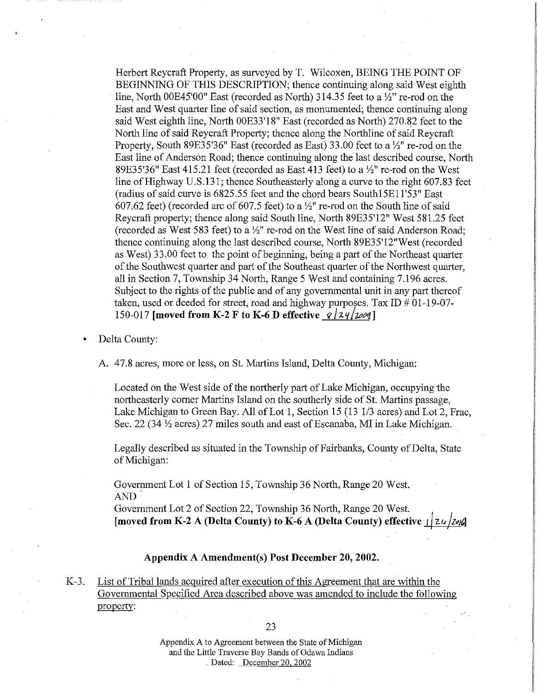Herbert Reycraft Property, as surveyed by T. Wilcoxen, BEING THE POINT OF BEGINNING OF THIS DESCRIPTION; thence continuing along said West eighth line, North OOE45'00" East (recorded as North) 314.35 feet to a *Yz"* re-rod on the East and West quarter line of said section, as monumented; thence continuing along said West eighth line, North 00E33'18" East (recorded as North) 270.82 feet to the North line of said Reycraft Property; thence along the Northline of said Reycraft Property, South 89E35'36" East (recorded as East) 33.00 feet to a *Yz"* re-rod on the East line of Anderson Road; thence continuing along the last described course, North 89E35'36" East 415.21 feet (recorded as East 413 feet) to a *Yz"* re-rod on the West line of Highway U.S.131; thence Southeasterly along a curve to the right 607.83 feet (radius of said curve is 6825.55 feet and the chord bears Southl5El1'53" East 607.62 feet) (recorded arc of 607.5 feet) to a *Yz"* re-rod on the South line of said Reycraft property; thence along said South line, North 89E35'12" West 581.25 feet (recorded as West 583 feet) to a *Yz"* re-rod on the West line of said Anderson Road; thence continuing along the last described course, North 89E35'12"West (recorded as West) 33.00 feet to the point of beginning, being a part of the Northeast quarter of the Southwest quarter and part of the Southeast quarter of the Northwest quarter, all in Section 7, Township 34 North, Range 5 West and containing 7.196 acres. Subject to the rights of the public and of any governmental unit in any part thereof taken, used or deeded for street, road and highway purposes. Tax ID  $\#01-19-07-$ 150-017 **[moved from K-2 F to K-6 D effective**  $\mathcal{L}[24/200]$ 

• Delta County:

A. 47.8 acres, more or less, on St. Martins Island, Delta County, Michigan:

Located on the West side of the northerly part of Lake Michigan, occupying the northeasterly comer Martins Island on the southerly side of St. Martins passage, Lake Michigan to Green Bay. All of Lot 1, Section 15 {13 1/3 acres) and Lot 2, Frac, Sec. 22 (34 *Yz* acres) 27 miles south and east of Escanaba, MI in Lake Michigan.

Legally described as situated in the Township of Fairbanks, County of Delta, State of Michigan:

Government Lot 1 of Section 15, Township 36 North, Range 20 West. AND

Government Lot 2 of Section 22, Township 36 North, Range 20 West. **[moved from K-2 A (Delta County) to K-6 A (Delta County) effective** */* / *zu /z•1']* 

# **Appendix A Amendment(s) Post December 20, 2002.**

K-3. List of Tribal lands acguired after execution of this Agreement that are within the Governmental Specified Area described above was amended to include the following propertv: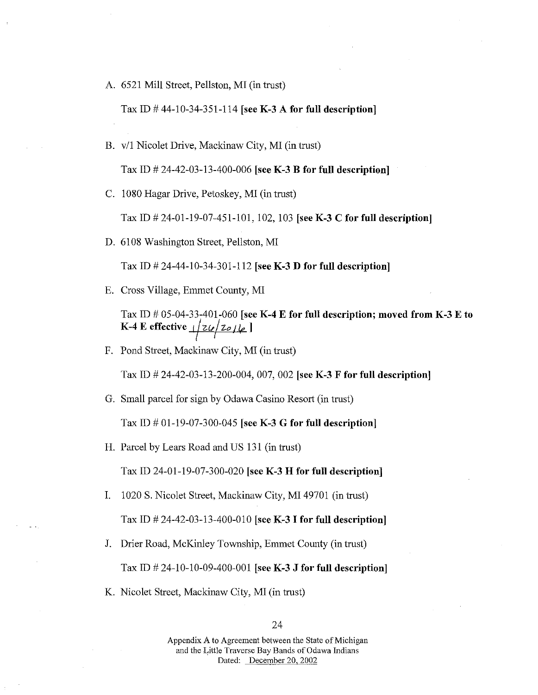A. 6521 Mill Street, Pellston, MI (in trust)

Tax ID# 44-10-34-351-114 [see **K-3 A for full description]** 

B. v/1 Nicolet Drive, Mackinaw City, MI (in trust)

Tax ID# 24-42-03-13-400-006 [see **K-3 B for full description]** 

C. 1080 Hagar Drive, Petoskey, MI (in trust)

Tax ID# 24-01-19-07-451-101, 102, 103 [see **K-3 C for full description]** 

D. 6108 Washington Street, Pellston, MI

Tax ID# 24-44-10-34-301-112 [see **K-3 D for full description]** 

E. Cross Village, Emmet County, MI

Tax ID# 05-04-33-401-060 [see **K-4 E for full description; moved from K-3 E to K-4 E effective**  $\frac{1}{2}$  *zo*  $\frac{1}{2}$  ]

F. Pond Street, Mackinaw City, MI (in trust)

Tax ID# 24-42-03-13-200-004, 007, 002 [see **K-3 F for full description]** 

G. Small parcel for sign by Odawa Casino Resort (in trust)

Tax ID# 01-19-07-300-045 [see **K-3 G for full description]** 

H. Parcel by Lears Road and US 131 (in trust)

Tax ID 24-01-19-07-300-020 [see **K-3 H for full description]** 

- I. 1020 S. Nicolet Street, Mackinaw City, MI 49701 (in trust) Tax ID# 24-42-03-13-400-010 [see **K-3 I for full description]**
- J. Drier Road, McKinley Township, Emmet County (in trust)

Tax ID# 24-10-10-09-400-001 [see **K-3 J for full description]** 

K. Nicolet Street, Mackinaw City, MI (in trust)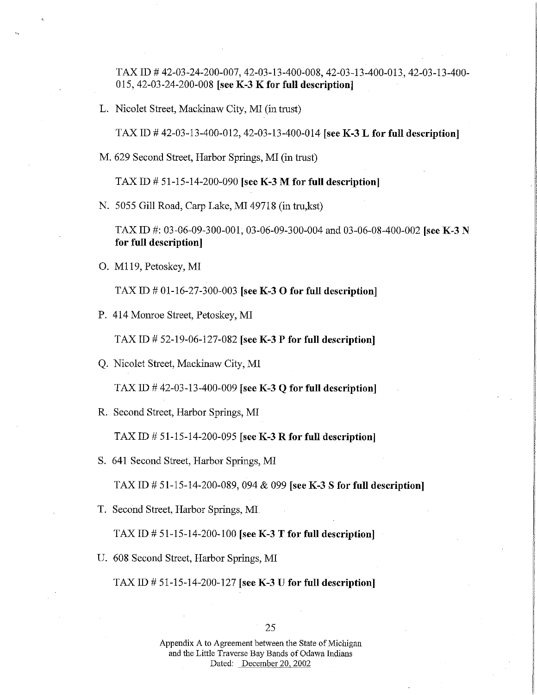TAX ID# 42-03-24-200-007, 42-03-13-400-008, 42-03-13-400-013, 42-03-13-400- 015, 42-03-24-200-008 [see **K-3 K for full description]** 

L. Nicolet Street, Mackinaw City, MI (in trust)

TAX ID# 42-03-13-400-012, 42-03-13-400-014 [see **K-3 L for full description]** 

M. 629 Second Street, Harbor Springs, MI (in trust)

TAX ID# 51-15-14-200-090 [see **K-3 M for full description]** 

N. 5055 Gill Road, Carp Lake, MI 49718 (in tru,kst)

TAX ID#: 03-06-09-300-001, 03-06-09-300-004 and 03-06-08-400-002 [see **K-3 N for full description]** 

0. Ml 19, Petoskey, MI

TAX ID# 01-16-27-300-003 [see **K-3 0 for full description]** 

P. 414 Monroe Street, Petoskey, MI

TAX ID# 52-19-06-127-082 [see K-3 **P for full description]** 

Q. Nicolet Street, Mackinaw City, MI

TAX ID# 42-03-13-400-009 [see **K-3 Q for full description]** 

R. Second Street, Harbor Springs, MI

TAX ID# 51-15-14-200-095 [see **K-3 R for full description]** 

S. 641 Second Street, Harbor Springs, MI

TAX ID# 51-15-14-200-089, 094 & 099 [see K-3 S **for full description]** 

T. Second Street, Harbor Springs, MI

TAX ID# 51-15-14-200-100 [see **K-3 T for full description]** 

U. 608 Second Street, Harbor Springs, MI

TAX ID# 51-15-14-200-127 [see **K-3 U for full description]**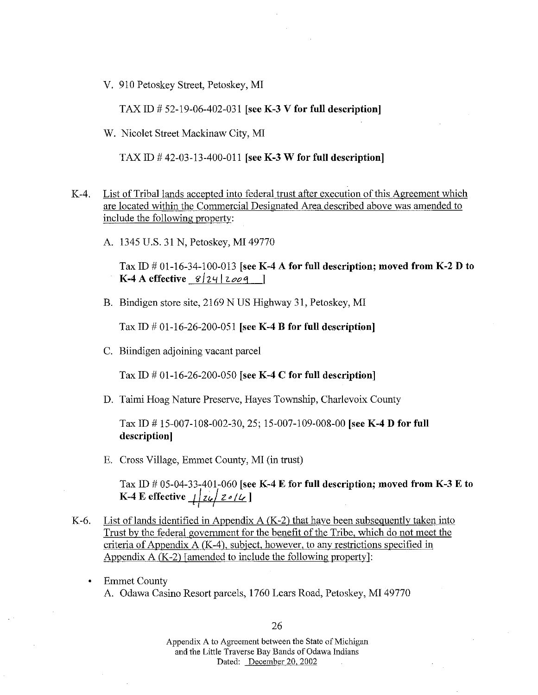V. 910 Petoskey Street, Petoskey, MI

TAX ID  $\#$  52-19-06-402-031 [see K-3 V for full description]

W. Nicolet Street Mackinaw City, MI

TAX ID  $\#$  42-03-13-400-011 [see K-3 W for full description]

- K-4. List of Tribal lands accepted into federal trust after execution of this Agreement which are located within the Commercial Designated Area described above was amended to include the following property:
	- A. 1345 U.S. 31 N, Petoskey, MI 49770

Tax ID  $\#$  01-16-34-100-013 [see K-4 A for full description; moved from K-2 D to K-4 A effective  $8/24/2009$  ]

B. Bindigen store site, 2169 NUS Highway 31, Petoskey, MI

Tax ID  $\#$  01-16-26-200-051 [see K-4 B for full description]

C. Biindigen adjoining vacant parcel

Tax ID  $\#$  01-16-26-200-050 [see K-4 C for full description]

D. Taimi Hoag Nature Preserve, Hayes Township, Charlevoix County

Tax ID# 15-007-108-002-30, 25; 15-007-109-008-00 [see K-4 D for full description]

E. Cross Village, Emmet County, MI (in trust)

Tax ID # 05-04-33-401-060 [see K-4 E for full description; moved from K-3 E to K-4 E effective  $\frac{1}{2}$   $\frac{1}{2}$   $\frac{1}{2}$   $\frac{1}{2}$   $\frac{1}{2}$   $\frac{1}{2}$ 

- K-6. List of lands identified in Appendix A  $(K-2)$  that have been subsequently taken into Trust by the federal government for the benefit of the Tribe, which do not meet the criteria of Appendix A (K-4), subject, however, to any restrictions specified in Appendix  $A(K-2)$  [amended to include the following property]:
	- Emmet County A. Odawa Casino Resort parcels, 1760 Lears Road, Petoskey, MI 49770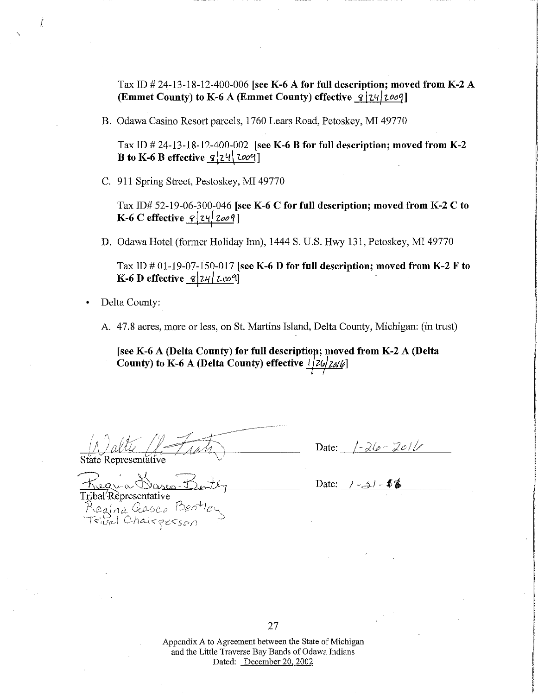Tax ID  $\#$  24-13-18-12-400-006 [see K-6 A for full description; moved from K-2 A (Emmet County) to K-6 A (Emmet County) effective 8 | 24 | 2009 **|** I

B. Odawa Casino Resort parcels, 1760 Lears Road, Petoskey, MI 49770

Tax ID  $\#$  24-13-18-12-400-002 [see K-6 B for full description; moved from K-2 B to K-6 B effective *9* 24 *Loo* 1

C. 911 Spring Street, Pestoskey, MI 49770

Tax  $ID# 52-19-06-300-046$  [see K-6 C for full description; moved from K-2 C to <u>K-6 C effective *§*|24|2009</u>]

D. Odawa Hotel (former Holiday Inn), 1444 S. U.S. Hwy 131, Petoskey, MI 49770

Tax ID  $\#$  01-19-07-150-017 [see K-6 D for full description; moved from K-2 F to K-6 D effective  $\frac{g}{24}$   $\frac{24}{\cos 9}$ 

• Delta County:

I

A 47.8 acres, more or less, on St Martins Island, Delta County, Michigan: (in trust)

[see K-6 A (Delta County) for full description; moved from K-2 A (Delta County) to K-6 A (Delta County) effective  $\frac{1}{2}$ 

State Representative

Date: <u>/-26-2011</u>

Date: <u>*i* - si</u> - **1** 

Tribal Representative<br>Regina Gasco Bentley<br>Tribal Chairgerson

27